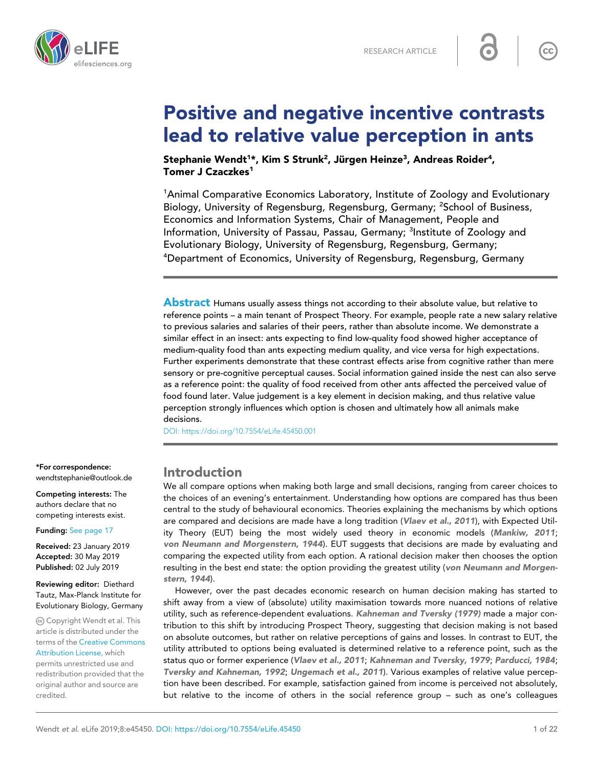



# Positive and negative incentive contrasts lead to relative value perception in ants

Stephanie Wendt<sup>1</sup>\*, Kim S Strunk<sup>2</sup>, Jürgen Heinze<sup>3</sup>, Andreas Roider<sup>4</sup>, Tomer J Czaczkes<sup>1</sup>

<sup>1</sup>Animal Comparative Economics Laboratory, Institute of Zoology and Evolutionary Biology, University of Regensburg, Regensburg, Germany; <sup>2</sup>School of Business, Economics and Information Systems, Chair of Management, People and Information, University of Passau, Passau, Germany; <sup>3</sup>Institute of Zoology and Evolutionary Biology, University of Regensburg, Regensburg, Germany; <sup>4</sup>Department of Economics, University of Regensburg, Regensburg, Germany

Abstract Humans usually assess things not according to their absolute value, but relative to reference points – a main tenant of Prospect Theory. For example, people rate a new salary relative to previous salaries and salaries of their peers, rather than absolute income. We demonstrate a similar effect in an insect: ants expecting to find low-quality food showed higher acceptance of medium-quality food than ants expecting medium quality, and vice versa for high expectations. Further experiments demonstrate that these contrast effects arise from cognitive rather than mere sensory or pre-cognitive perceptual causes. Social information gained inside the nest can also serve as a reference point: the quality of food received from other ants affected the perceived value of food found later. Value judgement is a key element in decision making, and thus relative value perception strongly influences which option is chosen and ultimately how all animals make decisions.

[DOI: https://doi.org/10.7554/eLife.45450.001](https://doi.org/10.7554/eLife.45450.001)

### Introduction

We all compare options when making both large and small decisions, ranging from career choices to the choices of an evening's entertainment. Understanding how options are compared has thus been central to the study of behavioural economics. Theories explaining the mechanisms by which options are compared and decisions are made have a long tradition ([Vlaev et al., 2011](#page-20-0)), with Expected Utility Theory (EUT) being the most widely used theory in economic models ([Mankiw, 2011](#page-19-0); [von Neumann and Morgenstern, 1944](#page-20-0)). EUT suggests that decisions are made by evaluating and comparing the expected utility from each option. A rational decision maker then chooses the option resulting in the best end state: the option providing the greatest utility ([von Neumann and Morgen](#page-20-0)[stern, 1944](#page-20-0)).

However, over the past decades economic research on human decision making has started to shift away from a view of (absolute) utility maximisation towards more nuanced notions of relative utility, such as reference-dependent evaluations. [Kahneman and Tversky \(1979\)](#page-19-0) made a major contribution to this shift by introducing Prospect Theory, suggesting that decision making is not based on absolute outcomes, but rather on relative perceptions of gains and losses. In contrast to EUT, the utility attributed to options being evaluated is determined relative to a reference point, such as the status quo or former experience ([Vlaev et al., 2011](#page-20-0); [Kahneman and Tversky, 1979](#page-19-0); [Parducci, 1984](#page-19-0); [Tversky and Kahneman, 1992](#page-20-0); [Ungemach et al., 2011](#page-20-0)). Various examples of relative value perception have been described. For example, satisfaction gained from income is perceived not absolutely, but relative to the income of others in the social reference group – such as one's colleagues

\*For correspondence: wendtstephanie@outlook.de

Competing interests: The authors declare that no competing interests exist.

Funding: [See page 17](#page-16-0)

Received: 23 January 2019 Accepted: 30 May 2019 Published: 02 July 2019

Reviewing editor: Diethard Tautz, Max-Planck Institute for Evolutionary Biology, Germany

Copyright Wendt et al. This article is distributed under the terms of the [Creative Commons](http://creativecommons.org/licenses/by/4.0/) [Attribution License,](http://creativecommons.org/licenses/by/4.0/) which

permits unrestricted use and redistribution provided that the original author and source are credited.

 $cc$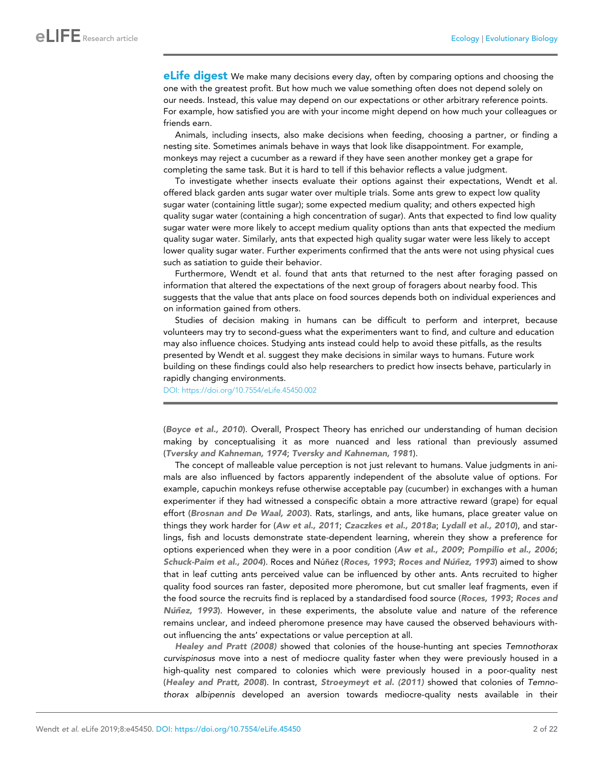**eLife digest** We make many decisions every day, often by comparing options and choosing the one with the greatest profit. But how much we value something often does not depend solely on our needs. Instead, this value may depend on our expectations or other arbitrary reference points. For example, how satisfied you are with your income might depend on how much your colleagues or friends earn.

Animals, including insects, also make decisions when feeding, choosing a partner, or finding a nesting site. Sometimes animals behave in ways that look like disappointment. For example, monkeys may reject a cucumber as a reward if they have seen another monkey get a grape for completing the same task. But it is hard to tell if this behavior reflects a value judgment.

To investigate whether insects evaluate their options against their expectations, Wendt et al. offered black garden ants sugar water over multiple trials. Some ants grew to expect low quality sugar water (containing little sugar); some expected medium quality; and others expected high quality sugar water (containing a high concentration of sugar). Ants that expected to find low quality sugar water were more likely to accept medium quality options than ants that expected the medium quality sugar water. Similarly, ants that expected high quality sugar water were less likely to accept lower quality sugar water. Further experiments confirmed that the ants were not using physical cues such as satiation to guide their behavior.

Furthermore, Wendt et al. found that ants that returned to the nest after foraging passed on information that altered the expectations of the next group of foragers about nearby food. This suggests that the value that ants place on food sources depends both on individual experiences and on information gained from others.

Studies of decision making in humans can be difficult to perform and interpret, because volunteers may try to second-guess what the experimenters want to find, and culture and education may also influence choices. Studying ants instead could help to avoid these pitfalls, as the results presented by Wendt et al. suggest they make decisions in similar ways to humans. Future work building on these findings could also help researchers to predict how insects behave, particularly in rapidly changing environments.

[DOI: https://doi.org/10.7554/eLife.45450.002](https://doi.org/10.7554/eLife.45450.002)

([Boyce et al., 2010](#page-18-0)). Overall, Prospect Theory has enriched our understanding of human decision making by conceptualising it as more nuanced and less rational than previously assumed ([Tversky and Kahneman, 1974](#page-20-0); [Tversky and Kahneman, 1981](#page-20-0)).

The concept of malleable value perception is not just relevant to humans. Value judgments in animals are also influenced by factors apparently independent of the absolute value of options. For example, capuchin monkeys refuse otherwise acceptable pay (cucumber) in exchanges with a human experimenter if they had witnessed a conspecific obtain a more attractive reward (grape) for equal effort ([Brosnan and De Waal, 2003](#page-18-0)). Rats, starlings, and ants, like humans, place greater value on things they work harder for ([Aw et al., 2011](#page-17-0); [Czaczkes et al., 2018a](#page-18-0); [Lydall et al., 2010](#page-19-0)), and starlings, fish and locusts demonstrate state-dependent learning, wherein they show a preference for options experienced when they were in a poor condition ([Aw et al., 2009](#page-17-0); [Pompilio et al., 2006](#page-20-0); [Schuck-Paim et al., 2004](#page-20-0)). Roces and Núñez ([Roces, 1993](#page-20-0); Roces and Núñez, 1993) aimed to show that in leaf cutting ants perceived value can be influenced by other ants. Ants recruited to higher quality food sources ran faster, deposited more pheromone, but cut smaller leaf fragments, even if the food source the recruits find is replaced by a standardised food source ([Roces, 1993](#page-20-0); [Roces and](#page-20-0) Nunez, 1993). However, in these experiments, the absolute value and nature of the reference remains unclear, and indeed pheromone presence may have caused the observed behaviours without influencing the ants' expectations or value perception at all.

[Healey and Pratt \(2008\)](#page-19-0) showed that colonies of the house-hunting ant species *Temnothorax curvispinosus* move into a nest of mediocre quality faster when they were previously housed in a high-quality nest compared to colonies which were previously housed in a poor-quality nest ([Healey and Pratt, 2008](#page-19-0)). In contrast, [Stroeymeyt et al. \(2011\)](#page-20-0) showed that colonies of *Temnothorax albipennis* developed an aversion towards mediocre-quality nests available in their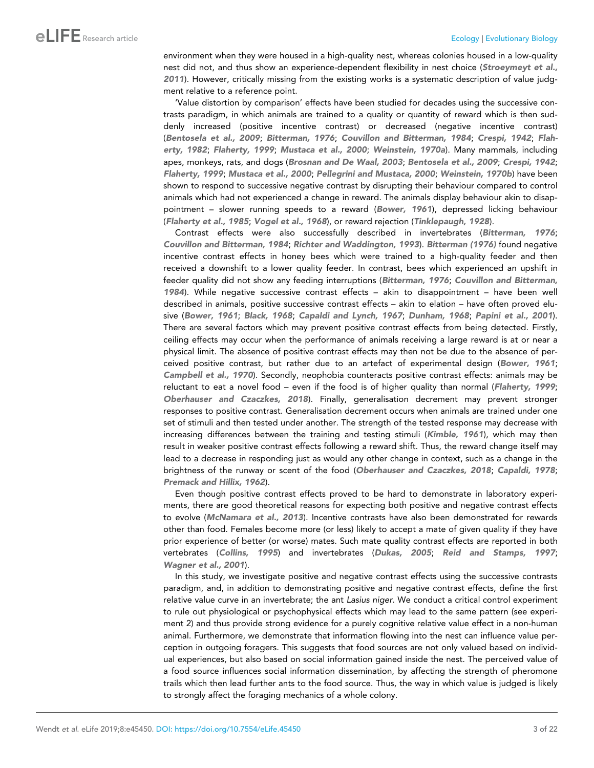environment when they were housed in a high-quality nest, whereas colonies housed in a low-quality nest did not, and thus show an experience-dependent flexibility in nest choice ([Stroeymeyt et al.,](#page-20-0) [2011](#page-20-0)). However, critically missing from the existing works is a systematic description of value judgment relative to a reference point.

'Value distortion by comparison' effects have been studied for decades using the successive contrasts paradigm, in which animals are trained to a quality or quantity of reward which is then suddenly increased (positive incentive contrast) or decreased (negative incentive contrast) ([Bentosela et al., 2009](#page-17-0); [Bitterman, 1976](#page-18-0); [Couvillon and Bitterman, 1984](#page-18-0); [Crespi, 1942](#page-18-0); [Flah](#page-18-0)[erty, 1982](#page-18-0); [Flaherty, 1999](#page-18-0); [Mustaca et al., 2000](#page-19-0); [Weinstein, 1970a](#page-20-0)). Many mammals, including apes, monkeys, rats, and dogs ([Brosnan and De Waal, 2003](#page-18-0); [Bentosela et al., 2009](#page-17-0); [Crespi, 1942](#page-18-0); [Flaherty, 1999](#page-18-0); [Mustaca et al., 2000](#page-19-0); [Pellegrini and Mustaca, 2000](#page-19-0); [Weinstein, 1970b](#page-20-0)) have been shown to respond to successive negative contrast by disrupting their behaviour compared to control animals which had not experienced a change in reward. The animals display behaviour akin to disappointment – slower running speeds to a reward ([Bower, 1961](#page-18-0)), depressed licking behaviour ([Flaherty et al., 1985](#page-18-0); [Vogel et al., 1968](#page-20-0)), or reward rejection ([Tinklepaugh, 1928](#page-20-0)).

Contrast effects were also successfully described in invertebrates ([Bitterman, 1976](#page-18-0); [Couvillon and Bitterman, 1984](#page-18-0); [Richter and Waddington, 1993](#page-20-0)). [Bitterman \(1976\)](#page-18-0) found negative incentive contrast effects in honey bees which were trained to a high-quality feeder and then received a downshift to a lower quality feeder. In contrast, bees which experienced an upshift in feeder quality did not show any feeding interruptions ([Bitterman, 1976](#page-18-0); [Couvillon and Bitterman,](#page-18-0) [1984](#page-18-0)). While negative successive contrast effects – akin to disappointment – have been well described in animals, positive successive contrast effects – akin to elation – have often proved elusive ([Bower, 1961](#page-18-0); [Black, 1968](#page-18-0); [Capaldi and Lynch, 1967](#page-18-0); [Dunham, 1968](#page-18-0); [Papini et al., 2001](#page-19-0)). There are several factors which may prevent positive contrast effects from being detected. Firstly, ceiling effects may occur when the performance of animals receiving a large reward is at or near a physical limit. The absence of positive contrast effects may then not be due to the absence of perceived positive contrast, but rather due to an artefact of experimental design ([Bower, 1961](#page-18-0); [Campbell et al., 1970](#page-18-0)). Secondly, neophobia counteracts positive contrast effects: animals may be reluctant to eat a novel food – even if the food is of higher quality than normal ([Flaherty, 1999](#page-18-0); [Oberhauser and Czaczkes, 2018](#page-19-0)). Finally, generalisation decrement may prevent stronger responses to positive contrast. Generalisation decrement occurs when animals are trained under one set of stimuli and then tested under another. The strength of the tested response may decrease with increasing differences between the training and testing stimuli ([Kimble, 1961](#page-19-0)), which may then result in weaker positive contrast effects following a reward shift. Thus, the reward change itself may lead to a decrease in responding just as would any other change in context, such as a change in the brightness of the runway or scent of the food ([Oberhauser and Czaczkes, 2018](#page-19-0); [Capaldi, 1978](#page-18-0); [Premack and Hillix, 1962](#page-20-0)).

Even though positive contrast effects proved to be hard to demonstrate in laboratory experiments, there are good theoretical reasons for expecting both positive and negative contrast effects to evolve ([McNamara et al., 2013](#page-19-0)). Incentive contrasts have also been demonstrated for rewards other than food. Females become more (or less) likely to accept a mate of given quality if they have prior experience of better (or worse) mates. Such mate quality contrast effects are reported in both vertebrates ([Collins, 1995](#page-18-0)) and invertebrates ([Dukas, 2005](#page-18-0); [Reid and Stamps, 1997](#page-20-0); [Wagner et al., 2001](#page-20-0)).

In this study, we investigate positive and negative contrast effects using the successive contrasts paradigm, and, in addition to demonstrating positive and negative contrast effects, define the first relative value curve in an invertebrate; the ant *Lasius niger*. We conduct a critical control experiment to rule out physiological or psychophysical effects which may lead to the same pattern (see experiment 2) and thus provide strong evidence for a purely cognitive relative value effect in a non-human animal. Furthermore, we demonstrate that information flowing into the nest can influence value perception in outgoing foragers. This suggests that food sources are not only valued based on individual experiences, but also based on social information gained inside the nest. The perceived value of a food source influences social information dissemination, by affecting the strength of pheromone trails which then lead further ants to the food source. Thus, the way in which value is judged is likely to strongly affect the foraging mechanics of a whole colony.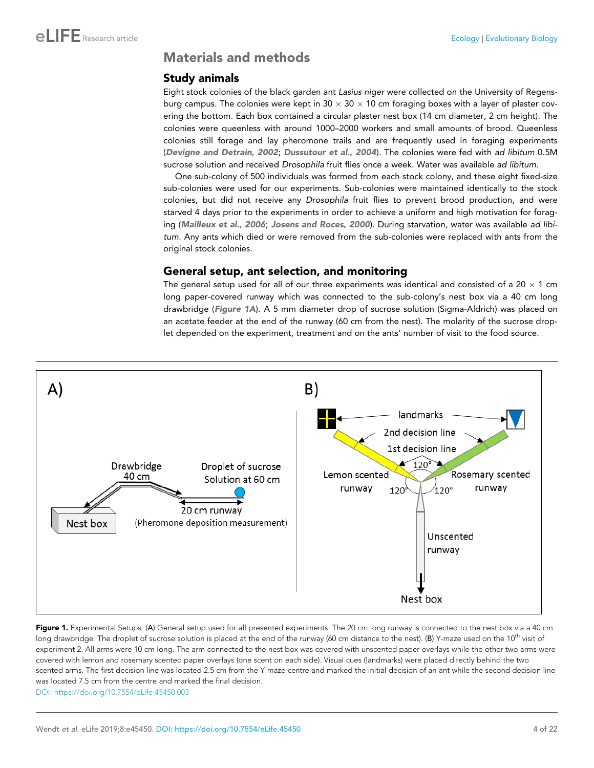### <span id="page-3-0"></span>Materials and methods

### Study animals

Eight stock colonies of the black garden ant *Lasius niger* were collected on the University of Regensburg campus. The colonies were kept in 30  $\times$  30  $\times$  10 cm foraging boxes with a layer of plaster covering the bottom. Each box contained a circular plaster nest box (14 cm diameter, 2 cm height). The colonies were queenless with around 1000–2000 workers and small amounts of brood. Queenless colonies still forage and lay pheromone trails and are frequently used in foraging experiments ([Devigne and Detrain, 2002](#page-18-0); [Dussutour et al., 2004](#page-18-0)). The colonies were fed with *ad libitum* 0.5M sucrose solution and received *Drosophila* fruit flies once a week. Water was available *ad libitum.*

One sub-colony of 500 individuals was formed from each stock colony, and these eight fixed-size sub-colonies were used for our experiments. Sub-colonies were maintained identically to the stock colonies, but did not receive any *Drosophila* fruit flies to prevent brood production, and were starved 4 days prior to the experiments in order to achieve a uniform and high motivation for foraging ([Mailleux et al., 2006](#page-19-0); [Josens and Roces, 2000](#page-19-0)). During starvation, water was available *ad libitum*. Any ants which died or were removed from the sub-colonies were replaced with ants from the original stock colonies.

### General setup, ant selection, and monitoring

The general setup used for all of our three experiments was identical and consisted of a 20  $\times$  1 cm long paper-covered runway which was connected to the sub-colony's nest box via a 40 cm long drawbridge (Figure 1A). A 5 mm diameter drop of sucrose solution (Sigma-Aldrich) was placed on an acetate feeder at the end of the runway (60 cm from the nest). The molarity of the sucrose droplet depended on the experiment, treatment and on the ants' number of visit to the food source.



Figure 1. Experimental Setups. (A) General setup used for all presented experiments. The 20 cm long runway is connected to the nest box via a 40 cm long drawbridge. The droplet of sucrose solution is placed at the end of the runway (60 cm distance to the nest). (B) Y-maze used on the 10<sup>th</sup> visit of experiment 2. All arms were 10 cm long. The arm connected to the nest box was covered with unscented paper overlays while the other two arms were covered with lemon and rosemary scented paper overlays (one scent on each side). Visual cues (landmarks) were placed directly behind the two scented arms. The first decision line was located 2.5 cm from the Y-maze centre and marked the initial decision of an ant while the second decision line was located 7.5 cm from the centre and marked the final decision. [DOI: https://doi.org/10.7554/eLife.45450.003](https://doi.org/10.7554/eLife.45450.003)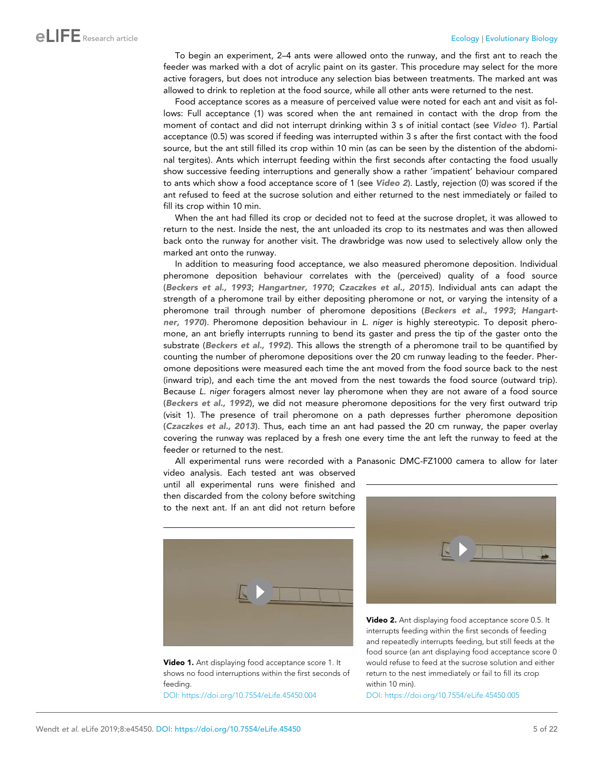To begin an experiment, 2–4 ants were allowed onto the runway, and the first ant to reach the feeder was marked with a dot of acrylic paint on its gaster. This procedure may select for the more active foragers, but does not introduce any selection bias between treatments. The marked ant was allowed to drink to repletion at the food source, while all other ants were returned to the nest.

Food acceptance scores as a measure of perceived value were noted for each ant and visit as follows: Full acceptance (1) was scored when the ant remained in contact with the drop from the moment of contact and did not interrupt drinking within 3 s of initial contact (see Video 1). Partial acceptance (0.5) was scored if feeding was interrupted within 3 s after the first contact with the food source, but the ant still filled its crop within 10 min (as can be seen by the distention of the abdominal tergites). Ants which interrupt feeding within the first seconds after contacting the food usually show successive feeding interruptions and generally show a rather 'impatient' behaviour compared to ants which show a food acceptance score of 1 (see Video 2). Lastly, rejection (0) was scored if the ant refused to feed at the sucrose solution and either returned to the nest immediately or failed to fill its crop within 10 min.

When the ant had filled its crop or decided not to feed at the sucrose droplet, it was allowed to return to the nest. Inside the nest, the ant unloaded its crop to its nestmates and was then allowed back onto the runway for another visit. The drawbridge was now used to selectively allow only the marked ant onto the runway.

In addition to measuring food acceptance, we also measured pheromone deposition. Individual pheromone deposition behaviour correlates with the (perceived) quality of a food source ([Beckers et al., 1993](#page-17-0); [Hangartner, 1970](#page-18-0); [Czaczkes et al., 2015](#page-18-0)). Individual ants can adapt the strength of a pheromone trail by either depositing pheromone or not, or varying the intensity of a pheromone trail through number of pheromone depositions ([Beckers et al., 1993](#page-17-0); [Hangart](#page-18-0)[ner, 1970](#page-18-0)). Pheromone deposition behaviour in *L. niger* is highly stereotypic. To deposit pheromone, an ant briefly interrupts running to bend its gaster and press the tip of the gaster onto the substrate ([Beckers et al., 1992](#page-17-0)). This allows the strength of a pheromone trail to be quantified by counting the number of pheromone depositions over the 20 cm runway leading to the feeder. Pheromone depositions were measured each time the ant moved from the food source back to the nest (inward trip), and each time the ant moved from the nest towards the food source (outward trip). Because *L. niger* foragers almost never lay pheromone when they are not aware of a food source ([Beckers et al., 1992](#page-17-0)), we did not measure pheromone depositions for the very first outward trip (visit 1). The presence of trail pheromone on a path depresses further pheromone deposition ([Czaczkes et al., 2013](#page-18-0)). Thus, each time an ant had passed the 20 cm runway, the paper overlay covering the runway was replaced by a fresh one every time the ant left the runway to feed at the feeder or returned to the nest.

All experimental runs were recorded with a Panasonic DMC-FZ1000 camera to allow for later

video analysis. Each tested ant was observed until all experimental runs were finished and then discarded from the colony before switching to the next ant. If an ant did not return before





[DOI: https://doi.org/10.7554/eLife.45450.004](https://doi.org/10.7554/eLife.45450.004)



Video 2. Ant displaying food acceptance score 0.5. It interrupts feeding within the first seconds of feeding and repeatedly interrupts feeding, but still feeds at the food source (an ant displaying food acceptance score 0 would refuse to feed at the sucrose solution and either return to the nest immediately or fail to fill its crop within 10 min).

[DOI: https://doi.org/10.7554/eLife.45450.005](https://doi.org/10.7554/eLife.45450.005)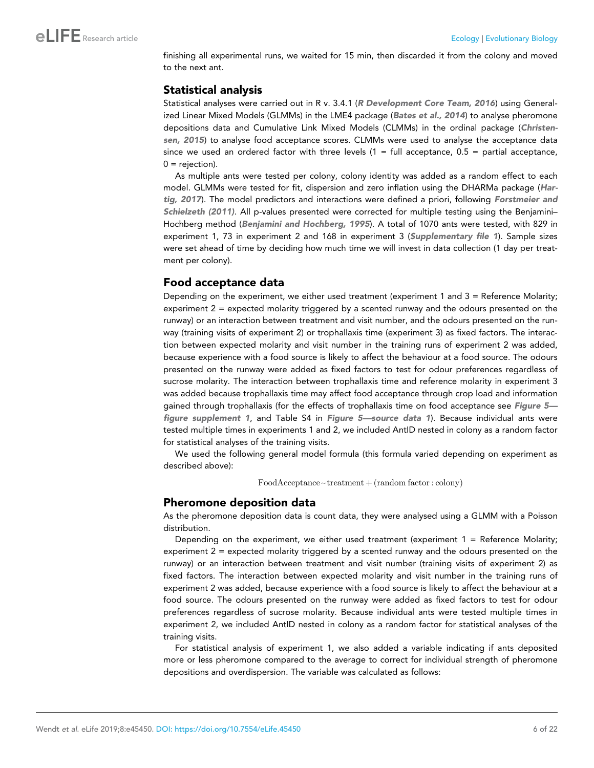finishing all experimental runs, we waited for 15 min, then discarded it from the colony and moved to the next ant.

### Statistical analysis

Statistical analyses were carried out in R v. 3.4.1 ([R Development Core Team, 2016](#page-20-0)) using General-ized Linear Mixed Models (GLMMs) in the LME4 package ([Bates et al., 2014](#page-17-0)) to analyse pheromone depositions data and Cumulative Link Mixed Models (CLMMs) in the ordinal package ([Christen](#page-18-0)[sen, 2015](#page-18-0)) to analyse food acceptance scores. CLMMs were used to analyse the acceptance data since we used an ordered factor with three levels  $(1 = full acceptance, 0.5 = partial acceptance,$  $0 =$  rejection).

As multiple ants were tested per colony, colony identity was added as a random effect to each model. GLMMs were tested for fit, dispersion and zero inflation using the DHARMa package ([Har](#page-19-0)[tig, 2017](#page-19-0)). The model predictors and interactions were defined a priori, following [Forstmeier and](#page-18-0) [Schielzeth \(2011\)](#page-18-0). All p-values presented were corrected for multiple testing using the Benjamini– Hochberg method ([Benjamini and Hochberg, 1995](#page-17-0)). A total of 1070 ants were tested, with 829 in experiment 1, 73 in experiment 2 and 168 in experiment 3 ([Supplementary file 1](#page-17-0)). Sample sizes were set ahead of time by deciding how much time we will invest in data collection (1 day per treatment per colony).

### Food acceptance data

Depending on the experiment, we either used treatment (experiment 1 and  $3 =$  Reference Molarity; experiment 2 = expected molarity triggered by a scented runway and the odours presented on the runway) or an interaction between treatment and visit number, and the odours presented on the runway (training visits of experiment 2) or trophallaxis time (experiment 3) as fixed factors. The interaction between expected molarity and visit number in the training runs of experiment 2 was added, because experience with a food source is likely to affect the behaviour at a food source. The odours presented on the runway were added as fixed factors to test for odour preferences regardless of sucrose molarity. The interaction between trophallaxis time and reference molarity in experiment 3 was added because trophallaxis time may affect food acceptance through crop load and information gained through trophallaxis (for the effects of trophallaxis time on food acceptance see [Figure 5](#page-13-0) [figure supplement 1](#page-13-0), and Table S4 in [Figure 5—source data 1](#page-13-0)). Because individual ants were tested multiple times in experiments 1 and 2, we included AntID nested in colony as a random factor for statistical analyses of the training visits.

We used the following general model formula (this formula varied depending on experiment as described above):

 $FoodAcceptance - treatment + (random factor : colony)$ 

### Pheromone deposition data

As the pheromone deposition data is count data, they were analysed using a GLMM with a Poisson distribution.

Depending on the experiment, we either used treatment (experiment  $1 =$  Reference Molarity; experiment 2 = expected molarity triggered by a scented runway and the odours presented on the runway) or an interaction between treatment and visit number (training visits of experiment 2) as fixed factors. The interaction between expected molarity and visit number in the training runs of experiment 2 was added, because experience with a food source is likely to affect the behaviour at a food source. The odours presented on the runway were added as fixed factors to test for odour preferences regardless of sucrose molarity. Because individual ants were tested multiple times in experiment 2, we included AntID nested in colony as a random factor for statistical analyses of the training visits.

For statistical analysis of experiment 1, we also added a variable indicating if ants deposited more or less pheromone compared to the average to correct for individual strength of pheromone depositions and overdispersion. The variable was calculated as follows: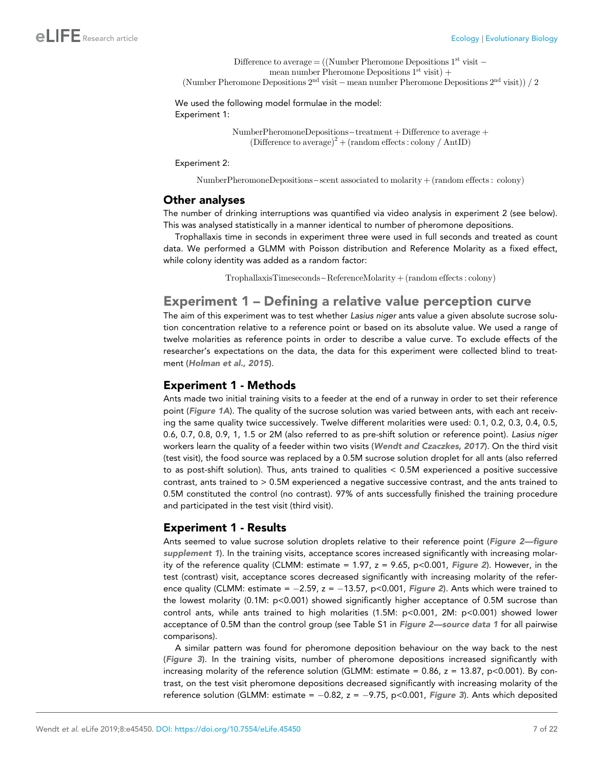```
Difference to average = ((Number Pheromone Depositions 1<sup>st</sup> visit -mean number Pheromone Depositions 1^{st} visit) +
(Number Pheromone Depositions 2<sup>nd</sup> visit - mean number Pheromone Depositions 2<sup>nd</sup> visit)) / 2
```

```
We used the following model formulae in the model:
Experiment 1:
```
 $NumberPheromoneDepositions~treatment + Difference to average +$  $(Difference to average)<sup>2</sup> + (random effects: colony / AntID)$ 

Experiment 2:

NumberPheromoneDepositions~scent associated to molarity  $+($  random effects : colony)

### Other analyses

The number of drinking interruptions was quantified via video analysis in experiment 2 (see below). This was analysed statistically in a manner identical to number of pheromone depositions.

Trophallaxis time in seconds in experiment three were used in full seconds and treated as count data. We performed a GLMM with Poisson distribution and Reference Molarity as a fixed effect, while colony identity was added as a random factor:

 $TrophallaxisTimeseconds~ReferenceMolarity + (random effects: colony)$ 

### Experiment 1 – Defining a relative value perception curve

The aim of this experiment was to test whether *Lasius niger* ants value a given absolute sucrose solution concentration relative to a reference point or based on its absolute value. We used a range of twelve molarities as reference points in order to describe a value curve. To exclude effects of the researcher's expectations on the data, the data for this experiment were collected blind to treatment ([Holman et al., 2015](#page-19-0)).

### Experiment 1 - Methods

Ants made two initial training visits to a feeder at the end of a runway in order to set their reference point ([Figure 1A](#page-3-0)). The quality of the sucrose solution was varied between ants, with each ant receiving the same quality twice successively. Twelve different molarities were used: 0.1, 0.2, 0.3, 0.4, 0.5, 0.6, 0.7, 0.8, 0.9, 1, 1.5 or 2M (also referred to as pre-shift solution or reference point). *Lasius niger* workers learn the quality of a feeder within two visits ([Wendt and Czaczkes, 2017](#page-20-0)). On the third visit (test visit), the food source was replaced by a 0.5M sucrose solution droplet for all ants (also referred to as post-shift solution). Thus, ants trained to qualities < 0.5M experienced a positive successive contrast, ants trained to > 0.5M experienced a negative successive contrast, and the ants trained to 0.5M constituted the control (no contrast). 97% of ants successfully finished the training procedure and participated in the test visit (third visit).

### Experiment 1 - Results

Ants seemed to value sucrose solution droplets relative to their reference point (Figure 2-figure [supplement 1](#page-7-0)). In the training visits, acceptance scores increased significantly with increasing molarity of the reference quality (CLMM: estimate = 1.97,  $z = 9.65$ ,  $p < 0.001$ , [Figure 2](#page-7-0)). However, in the test (contrast) visit, acceptance scores decreased significantly with increasing molarity of the reference quality (CLMM: estimate =  $-2.59$ ,  $z = -13.57$ , p<0.001, [Figure 2](#page-7-0)). Ants which were trained to the lowest molarity (0.1M: p<0.001) showed significantly higher acceptance of 0.5M sucrose than control ants, while ants trained to high molarities (1.5M: p<0.001, 2M: p<0.001) showed lower acceptance of 0.5M than the control group (see Table S1 in [Figure 2—source data 1](#page-7-0) for all pairwise comparisons).

A similar pattern was found for pheromone deposition behaviour on the way back to the nest ([Figure 3](#page-8-0)). In the training visits, number of pheromone depositions increased significantly with increasing molarity of the reference solution (GLMM: estimate =  $0.86$ ,  $z = 13.87$ , p<0.001). By contrast, on the test visit pheromone depositions decreased significantly with increasing molarity of the reference solution (GLMM: estimate =  $-0.82$ , z =  $-9.75$ , p<0.001, [Figure 3](#page-8-0)). Ants which deposited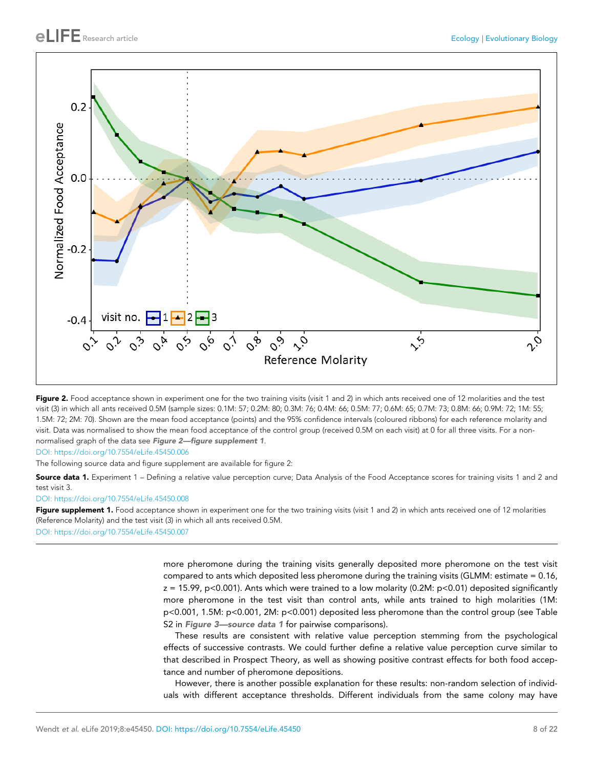<span id="page-7-0"></span>

Figure 2. Food acceptance shown in experiment one for the two training visits (visit 1 and 2) in which ants received one of 12 molarities and the test visit (3) in which all ants received 0.5M (sample sizes: 0.1M: 57; 0.2M: 80; 0.3M: 76; 0.4M: 66; 0.5M: 77; 0.6M: 65; 0.7M: 73; 0.8M: 66; 0.9M: 72; 1M: 55; 1.5M: 72; 2M: 70). Shown are the mean food acceptance (points) and the 95% confidence intervals (coloured ribbons) for each reference molarity and visit. Data was normalised to show the mean food acceptance of the control group (received 0.5M on each visit) at 0 for all three visits. For a nonnormalised graph of the data see Figure 2-figure supplement 1.

[DOI: https://doi.org/10.7554/eLife.45450.006](https://doi.org/10.7554/eLife.45450.006)

The following source data and figure supplement are available for figure 2:

Source data 1. Experiment 1 – Defining a relative value perception curve; Data Analysis of the Food Acceptance scores for training visits 1 and 2 and test visit 3.

[DOI: https://doi.org/10.7554/eLife.45450.008](https://doi.org/10.7554/eLife.45450.008)

Figure supplement 1. Food acceptance shown in experiment one for the two training visits (visit 1 and 2) in which ants received one of 12 molarities (Reference Molarity) and the test visit (3) in which all ants received 0.5M. [DOI: https://doi.org/10.7554/eLife.45450.007](https://doi.org/10.7554/eLife.45450.007)

> more pheromone during the training visits generally deposited more pheromone on the test visit compared to ants which deposited less pheromone during the training visits (GLMM: estimate = 0.16,  $z = 15.99$ , p<0.001). Ants which were trained to a low molarity (0.2M: p<0.01) deposited significantly more pheromone in the test visit than control ants, while ants trained to high molarities (1M: p<0.001, 1.5M: p<0.001, 2M: p<0.001) deposited less pheromone than the control group (see Table S2 in [Figure 3—source data 1](#page-8-0) for pairwise comparisons).

> These results are consistent with relative value perception stemming from the psychological effects of successive contrasts. We could further define a relative value perception curve similar to that described in Prospect Theory, as well as showing positive contrast effects for both food acceptance and number of pheromone depositions.

> However, there is another possible explanation for these results: non-random selection of individuals with different acceptance thresholds. Different individuals from the same colony may have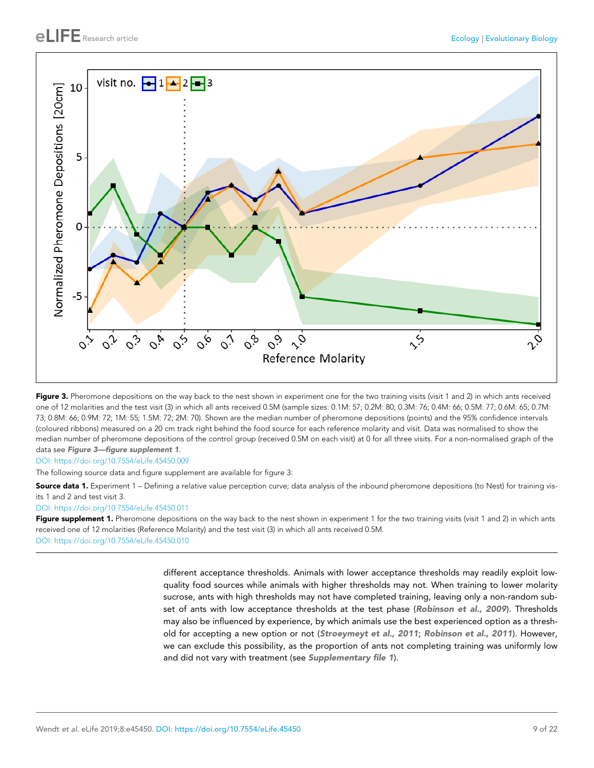<span id="page-8-0"></span>

Figure 3. Pheromone depositions on the way back to the nest shown in experiment one for the two training visits (visit 1 and 2) in which ants received one of 12 molarities and the test visit (3) in which all ants received 0.5M (sample sizes: 0.1M: 57; 0.2M: 80; 0.3M: 76; 0.4M: 66; 0.5M: 77; 0.6M: 65; 0.7M: 73; 0.8M: 66; 0.9M: 72; 1M: 55; 1.5M: 72; 2M: 70). Shown are the median number of pheromone depositions (points) and the 95% confidence intervals (coloured ribbons) measured on a 20 cm track right behind the food source for each reference molarity and visit. Data was normalised to show the median number of pheromone depositions of the control group (received 0.5M on each visit) at 0 for all three visits. For a non-normalised graph of the data see Figure 3—figure supplement 1.

[DOI: https://doi.org/10.7554/eLife.45450.009](https://doi.org/10.7554/eLife.45450.009)

The following source data and figure supplement are available for figure 3:

Source data 1. Experiment 1 – Defining a relative value perception curve; data analysis of the inbound pheromone depositions (to Nest) for training visits 1 and 2 and test visit 3.

[DOI: https://doi.org/10.7554/eLife.45450.011](https://doi.org/10.7554/eLife.45450.011)

Figure supplement 1. Pheromone depositions on the way back to the nest shown in experiment 1 for the two training visits (visit 1 and 2) in which ants received one of 12 molarities (Reference Molarity) and the test visit (3) in which all ants received 0.5M. [DOI: https://doi.org/10.7554/eLife.45450.010](https://doi.org/10.7554/eLife.45450.010)

> different acceptance thresholds. Animals with lower acceptance thresholds may readily exploit lowquality food sources while animals with higher thresholds may not. When training to lower molarity sucrose, ants with high thresholds may not have completed training, leaving only a non-random sub-set of ants with low acceptance thresholds at the test phase ([Robinson et al., 2009](#page-20-0)). Thresholds may also be influenced by experience, by which animals use the best experienced option as a thresh-old for accepting a new option or not ([Stroeymeyt et al., 2011](#page-20-0); [Robinson et al., 2011](#page-20-0)). However, we can exclude this possibility, as the proportion of ants not completing training was uniformly low and did not vary with treatment (see [Supplementary file 1](#page-17-0)).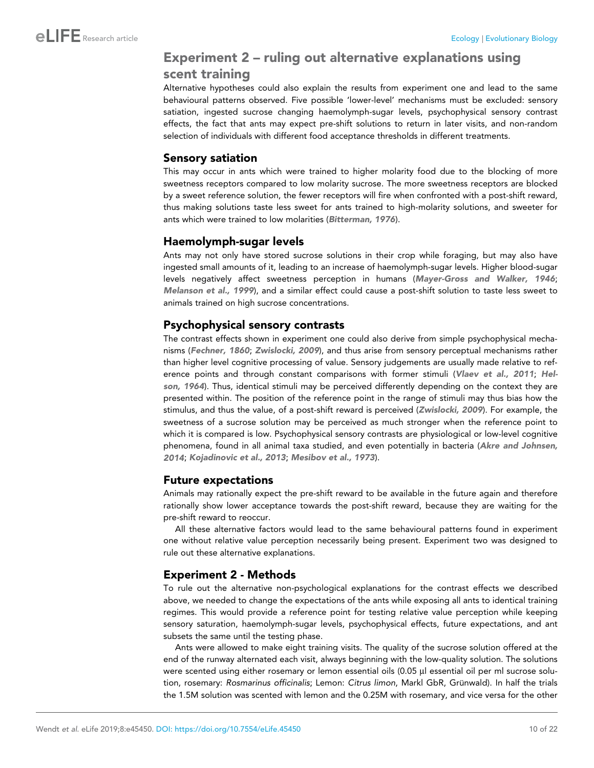### Experiment 2 – ruling out alternative explanations using scent training

Alternative hypotheses could also explain the results from experiment one and lead to the same behavioural patterns observed. Five possible 'lower-level' mechanisms must be excluded: sensory satiation, ingested sucrose changing haemolymph-sugar levels, psychophysical sensory contrast effects, the fact that ants may expect pre-shift solutions to return in later visits, and non-random selection of individuals with different food acceptance thresholds in different treatments.

### Sensory satiation

This may occur in ants which were trained to higher molarity food due to the blocking of more sweetness receptors compared to low molarity sucrose. The more sweetness receptors are blocked by a sweet reference solution, the fewer receptors will fire when confronted with a post-shift reward, thus making solutions taste less sweet for ants trained to high-molarity solutions, and sweeter for ants which were trained to low molarities ([Bitterman, 1976](#page-18-0)).

### Haemolymph-sugar levels

Ants may not only have stored sucrose solutions in their crop while foraging, but may also have ingested small amounts of it, leading to an increase of haemolymph-sugar levels. Higher blood-sugar levels negatively affect sweetness perception in humans ([Mayer-Gross and Walker, 1946](#page-19-0); [Melanson et al., 1999](#page-19-0)), and a similar effect could cause a post-shift solution to taste less sweet to animals trained on high sucrose concentrations.

### Psychophysical sensory contrasts

The contrast effects shown in experiment one could also derive from simple psychophysical mechanisms ([Fechner, 1860](#page-18-0); [Zwislocki, 2009](#page-20-0)), and thus arise from sensory perceptual mechanisms rather than higher level cognitive processing of value. Sensory judgements are usually made relative to ref-erence points and through constant comparisons with former stimuli ([Vlaev et al., 2011](#page-20-0); [Hel](#page-19-0)[son, 1964](#page-19-0)). Thus, identical stimuli may be perceived differently depending on the context they are presented within. The position of the reference point in the range of stimuli may thus bias how the stimulus, and thus the value, of a post-shift reward is perceived ([Zwislocki, 2009](#page-20-0)). For example, the sweetness of a sucrose solution may be perceived as much stronger when the reference point to which it is compared is low. Psychophysical sensory contrasts are physiological or low-level cognitive phenomena, found in all animal taxa studied, and even potentially in bacteria ([Akre and Johnsen,](#page-17-0) [2014](#page-17-0); [Kojadinovic et al., 2013](#page-19-0); [Mesibov et al., 1973](#page-19-0)).

### Future expectations

Animals may rationally expect the pre-shift reward to be available in the future again and therefore rationally show lower acceptance towards the post-shift reward, because they are waiting for the pre-shift reward to reoccur.

All these alternative factors would lead to the same behavioural patterns found in experiment one without relative value perception necessarily being present. Experiment two was designed to rule out these alternative explanations.

### Experiment 2 - Methods

To rule out the alternative non-psychological explanations for the contrast effects we described above, we needed to change the expectations of the ants while exposing all ants to identical training regimes. This would provide a reference point for testing relative value perception while keeping sensory saturation, haemolymph-sugar levels, psychophysical effects, future expectations, and ant subsets the same until the testing phase.

Ants were allowed to make eight training visits. The quality of the sucrose solution offered at the end of the runway alternated each visit, always beginning with the low-quality solution. The solutions were scented using either rosemary or lemon essential oils (0.05 µl essential oil per ml sucrose solution, rosemary: Rosmarinus officinalis; Lemon: Citrus limon, Markl GbR, Grünwald). In half the trials the 1.5M solution was scented with lemon and the 0.25M with rosemary, and vice versa for the other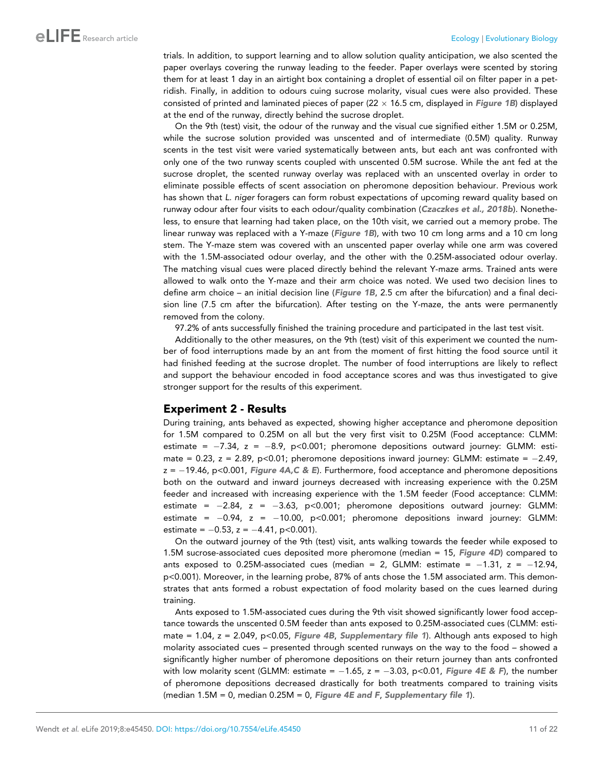trials. In addition, to support learning and to allow solution quality anticipation, we also scented the paper overlays covering the runway leading to the feeder. Paper overlays were scented by storing them for at least 1 day in an airtight box containing a droplet of essential oil on filter paper in a petridish. Finally, in addition to odours cuing sucrose molarity, visual cues were also provided. These consisted of printed and laminated pieces of paper (22  $\times$  16.5 cm, displayed in [Figure 1B](#page-3-0)) displayed at the end of the runway, directly behind the sucrose droplet.

On the 9th (test) visit, the odour of the runway and the visual cue signified either 1.5M or 0.25M, while the sucrose solution provided was unscented and of intermediate (0.5M) quality. Runway scents in the test visit were varied systematically between ants, but each ant was confronted with only one of the two runway scents coupled with unscented 0.5M sucrose. While the ant fed at the sucrose droplet, the scented runway overlay was replaced with an unscented overlay in order to eliminate possible effects of scent association on pheromone deposition behaviour. Previous work has shown that *L. niger* foragers can form robust expectations of upcoming reward quality based on runway odour after four visits to each odour/quality combination ([Czaczkes et al., 2018b](#page-18-0)). Nonetheless, to ensure that learning had taken place, on the 10th visit, we carried out a memory probe. The linear runway was replaced with a Y-maze ([Figure 1B](#page-3-0)), with two 10 cm long arms and a 10 cm long stem. The Y-maze stem was covered with an unscented paper overlay while one arm was covered with the 1.5M-associated odour overlay, and the other with the 0.25M-associated odour overlay. The matching visual cues were placed directly behind the relevant Y-maze arms. Trained ants were allowed to walk onto the Y-maze and their arm choice was noted. We used two decision lines to define arm choice – an initial decision line ([Figure 1B](#page-3-0), 2.5 cm after the bifurcation) and a final decision line (7.5 cm after the bifurcation). After testing on the Y-maze, the ants were permanently removed from the colony.

97.2% of ants successfully finished the training procedure and participated in the last test visit.

Additionally to the other measures, on the 9th (test) visit of this experiment we counted the number of food interruptions made by an ant from the moment of first hitting the food source until it had finished feeding at the sucrose droplet. The number of food interruptions are likely to reflect and support the behaviour encoded in food acceptance scores and was thus investigated to give stronger support for the results of this experiment.

### Experiment 2 - Results

During training, ants behaved as expected, showing higher acceptance and pheromone deposition for 1.5M compared to 0.25M on all but the very first visit to 0.25M (Food acceptance: CLMM: estimate =  $-7.34$ , z =  $-8.9$ , p<0.001; pheromone depositions outward journey: GLMM: estimate =  $0.23$ ,  $z = 2.89$ ,  $p < 0.01$ ; pheromone depositions inward journey: GLMM: estimate =  $-2.49$ ,  $z = -19.46$ , p<0.001, [Figure 4A,C & E](#page-11-0)). Furthermore, food acceptance and pheromone depositions both on the outward and inward journeys decreased with increasing experience with the 0.25M feeder and increased with increasing experience with the 1.5M feeder (Food acceptance: CLMM: estimate =  $-2.84$ , z =  $-3.63$ , p<0.001; pheromone depositions outward journey: GLMM: estimate =  $-0.94$ ,  $z = -10.00$ ,  $p < 0.001$ ; pheromone depositions inward journey: GLMM: estimate =  $-0.53$ , z =  $-4.41$ , p<0.001).

On the outward journey of the 9th (test) visit, ants walking towards the feeder while exposed to 1.5M sucrose-associated cues deposited more pheromone (median = 15, [Figure 4D](#page-11-0)) compared to ants exposed to 0.25M-associated cues (median = 2, GLMM: estimate =  $-1.31$ ,  $z = -12.94$ , p<0.001). Moreover, in the learning probe, 87% of ants chose the 1.5M associated arm. This demonstrates that ants formed a robust expectation of food molarity based on the cues learned during training.

Ants exposed to 1.5M-associated cues during the 9th visit showed significantly lower food acceptance towards the unscented 0.5M feeder than ants exposed to 0.25M-associated cues (CLMM: estimate = 1.04,  $z = 2.049$ ,  $p < 0.05$ , [Figure 4B](#page-11-0), [Supplementary file 1](#page-17-0)). Although ants exposed to high molarity associated cues – presented through scented runways on the way to the food – showed a significantly higher number of pheromone depositions on their return journey than ants confronted with low molarity scent (GLMM: estimate =  $-1.65$ , z =  $-3.03$ , p<0.01, [Figure 4E & F](#page-11-0)), the number of pheromone depositions decreased drastically for both treatments compared to training visits (median  $1.5M = 0$ , median  $0.25M = 0$ , [Figure 4E and F](#page-11-0), [Supplementary file 1](#page-17-0)).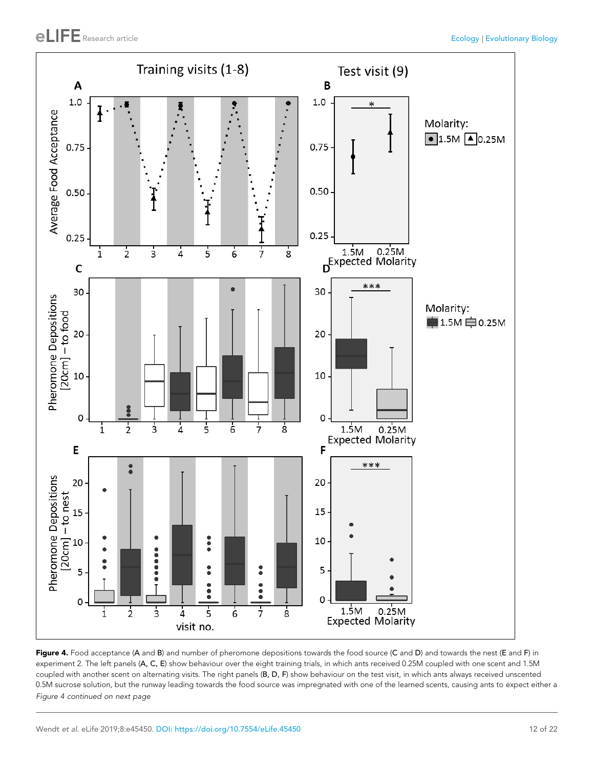<span id="page-11-0"></span>

Figure 4. Food acceptance (A and B) and number of pheromone depositions towards the food source (C and D) and towards the nest (E and F) in experiment 2. The left panels (A, C, E) show behaviour over the eight training trials, in which ants received 0.25M coupled with one scent and 1.5M coupled with another scent on alternating visits. The right panels (B, D, F) show behaviour on the test visit, in which ants always received unscented 0.5M sucrose solution, but the runway leading towards the food source was impregnated with one of the learned scents, causing ants to expect either a

Figure 4 continued on next page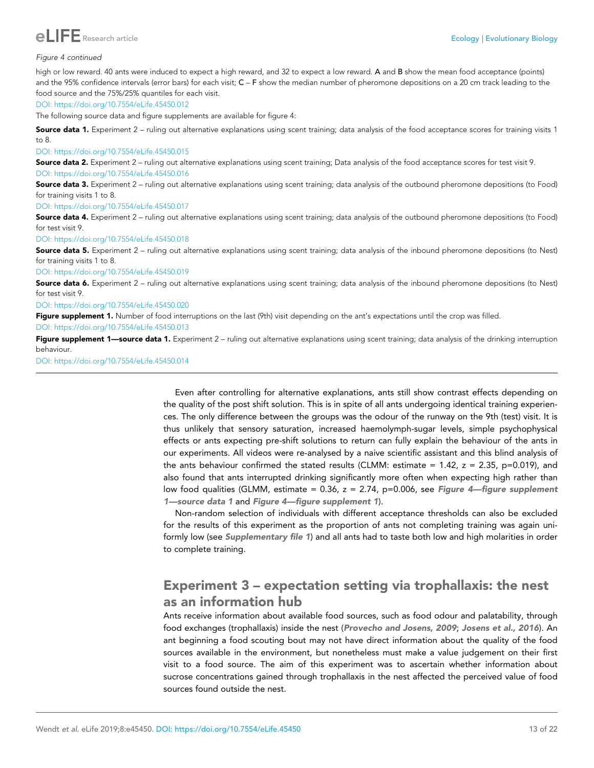

#### Figure 4 continued

high or low reward. 40 ants were induced to expect a high reward, and 32 to expect a low reward. A and B show the mean food acceptance (points) and the 95% confidence intervals (error bars) for each visit;  $C - F$  show the median number of pheromone depositions on a 20 cm track leading to the food source and the 75%/25% quantiles for each visit.

#### [DOI: https://doi.org/10.7554/eLife.45450.012](https://doi.org/10.7554/eLife.45450.012)

The following source data and figure supplements are available for figure 4:

**Source data 1.** Experiment 2 – ruling out alternative explanations using scent training; data analysis of the food acceptance scores for training visits 1 to 8.

#### [DOI: https://doi.org/10.7554/eLife.45450.015](https://doi.org/10.7554/eLife.45450.015)

Source data 2. Experiment 2 – ruling out alternative explanations using scent training; Data analysis of the food acceptance scores for test visit 9. [DOI: https://doi.org/10.7554/eLife.45450.016](https://doi.org/10.7554/eLife.45450.016)

**Source data 3.** Experiment 2 – ruling out alternative explanations using scent training; data analysis of the outbound pheromone depositions (to Food) for training visits 1 to 8.

[DOI: https://doi.org/10.7554/eLife.45450.017](https://doi.org/10.7554/eLife.45450.017)

**Source data 4.** Experiment 2 – ruling out alternative explanations using scent training; data analysis of the outbound pheromone depositions (to Food) for test visit 9

[DOI: https://doi.org/10.7554/eLife.45450.018](https://doi.org/10.7554/eLife.45450.018)

**Source data 5.** Experiment 2 – ruling out alternative explanations using scent training; data analysis of the inbound pheromone depositions (to Nest) for training visits 1 to 8.

[DOI: https://doi.org/10.7554/eLife.45450.019](https://doi.org/10.7554/eLife.45450.019)

**Source data 6.** Experiment 2 – ruling out alternative explanations using scent training; data analysis of the inbound pheromone depositions (to Nest) for test visit 9.

[DOI: https://doi.org/10.7554/eLife.45450.020](https://doi.org/10.7554/eLife.45450.020)

Figure supplement 1. Number of food interruptions on the last (9th) visit depending on the ant's expectations until the crop was filled. [DOI: https://doi.org/10.7554/eLife.45450.013](https://doi.org/10.7554/eLife.45450.013)

Figure supplement 1—source data 1. Experiment 2 – ruling out alternative explanations using scent training; data analysis of the drinking interruption behaviour.

[DOI: https://doi.org/10.7554/eLife.45450.014](https://doi.org/10.7554/eLife.45450.014)

Even after controlling for alternative explanations, ants still show contrast effects depending on the quality of the post shift solution. This is in spite of all ants undergoing identical training experiences. The only difference between the groups was the odour of the runway on the 9th (test) visit. It is thus unlikely that sensory saturation, increased haemolymph-sugar levels, simple psychophysical effects or ants expecting pre-shift solutions to return can fully explain the behaviour of the ants in our experiments. All videos were re-analysed by a naive scientific assistant and this blind analysis of the ants behaviour confirmed the stated results (CLMM: estimate = 1.42,  $z = 2.35$ , p=0.019), and also found that ants interrupted drinking significantly more often when expecting high rather than low food qualities (GLMM, estimate =  $0.36$ ,  $z = 2.74$ , p=0.006, see Figure 4-figure supplement 1—source data 1 and Figure 4—figure supplement 1).

Non-random selection of individuals with different acceptance thresholds can also be excluded for the results of this experiment as the proportion of ants not completing training was again uni-formly low (see [Supplementary file 1](#page-17-0)) and all ants had to taste both low and high molarities in order to complete training.

### Experiment 3 – expectation setting via trophallaxis: the nest as an information hub

Ants receive information about available food sources, such as food odour and palatability, through food exchanges (trophallaxis) inside the nest ([Provecho and Josens, 2009](#page-20-0); [Josens et al., 2016](#page-19-0)). An ant beginning a food scouting bout may not have direct information about the quality of the food sources available in the environment, but nonetheless must make a value judgement on their first visit to a food source. The aim of this experiment was to ascertain whether information about sucrose concentrations gained through trophallaxis in the nest affected the perceived value of food sources found outside the nest.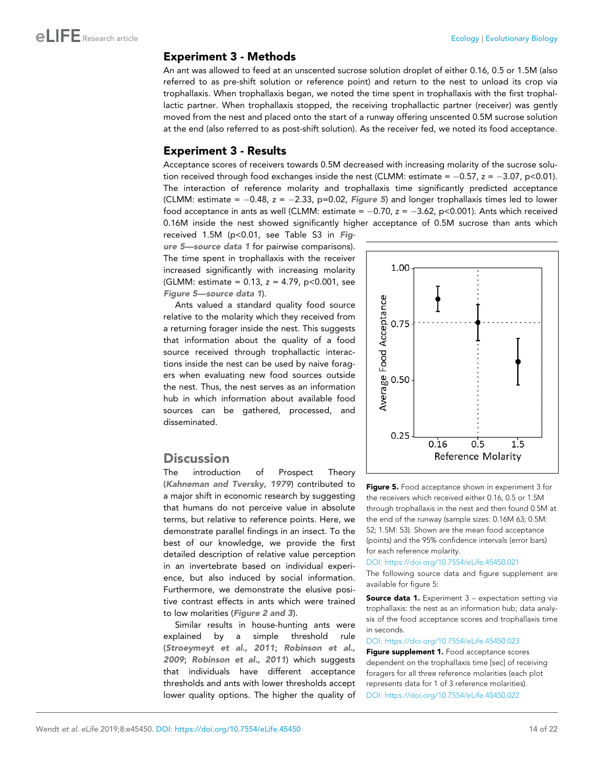### <span id="page-13-0"></span>Experiment 3 - Methods

An ant was allowed to feed at an unscented sucrose solution droplet of either 0.16, 0.5 or 1.5M (also referred to as pre-shift solution or reference point) and return to the nest to unload its crop via trophallaxis. When trophallaxis began, we noted the time spent in trophallaxis with the first trophallactic partner. When trophallaxis stopped, the receiving trophallactic partner (receiver) was gently moved from the nest and placed onto the start of a runway offering unscented 0.5M sucrose solution at the end (also referred to as post-shift solution). As the receiver fed, we noted its food acceptance.

### Experiment 3 - Results

Acceptance scores of receivers towards 0.5M decreased with increasing molarity of the sucrose solution received through food exchanges inside the nest (CLMM: estimate =  $-0.57$ ,  $z = -3.07$ ,  $p < 0.01$ ). The interaction of reference molarity and trophallaxis time significantly predicted acceptance (CLMM: estimate =  $-0.48$ , z =  $-2.33$ , p=0.02, Figure 5) and longer trophallaxis times led to lower food acceptance in ants as well (CLMM: estimate =  $-0.70$ ,  $z = -3.62$ , p<0.001). Ants which received 0.16M inside the nest showed significantly higher acceptance of 0.5M sucrose than ants which

received 1.5M (p<0.01, see Table S3 in Figure 5—source data 1 for pairwise comparisons). The time spent in trophallaxis with the receiver increased significantly with increasing molarity (GLMM: estimate =  $0.13$ , z = 4.79, p<0.001, see Figure 5—source data 1).

Ants valued a standard quality food source relative to the molarity which they received from a returning forager inside the nest. This suggests that information about the quality of a food source received through trophallactic interactions inside the nest can be used by naive foragers when evaluating new food sources outside the nest. Thus, the nest serves as an information hub in which information about available food sources can be gathered, processed, and disseminated.

### **Discussion**

The introduction of Prospect Theory ([Kahneman and Tversky, 1979](#page-19-0)) contributed to a major shift in economic research by suggesting that humans do not perceive value in absolute terms, but relative to reference points. Here, we demonstrate parallel findings in an insect. To the best of our knowledge, we provide the first detailed description of relative value perception in an invertebrate based on individual experience, but also induced by social information. Furthermore, we demonstrate the elusive positive contrast effects in ants which were trained to low molarities ([Figure 2 and 3](#page-7-0)).

Similar results in house-hunting ants were explained by a simple threshold rule ([Stroeymeyt et al., 2011](#page-20-0); [Robinson et al.,](#page-20-0) [2009](#page-20-0); [Robinson et al., 2011](#page-20-0)) which suggests that individuals have different acceptance thresholds and ants with lower thresholds accept lower quality options. The higher the quality of



Figure 5. Food acceptance shown in experiment 3 for the receivers which received either 0.16, 0.5 or 1.5M through trophallaxis in the nest and then found 0.5M at the end of the runway (sample sizes: 0.16M 63; 0.5M: 52; 1.5M: 53). Shown are the mean food acceptance (points) and the 95% confidence intervals (error bars) for each reference molarity.

#### [DOI: https://doi.org/10.7554/eLife.45450.021](https://doi.org/10.7554/eLife.45450.021)

The following source data and figure supplement are available for figure 5:

**Source data 1.** Experiment 3 – expectation setting via trophallaxis: the nest as an information hub; data analysis of the food acceptance scores and trophallaxis time in seconds.

[DOI: https://doi.org/10.7554/eLife.45450.023](https://doi.org/10.7554/eLife.45450.023)

Figure supplement 1. Food acceptance scores dependent on the trophallaxis time [sec] of receiving foragers for all three reference molarities (each plot represents data for 1 of 3 reference molarities). [DOI: https://doi.org/10.7554/eLife.45450.022](https://doi.org/10.7554/eLife.45450.022)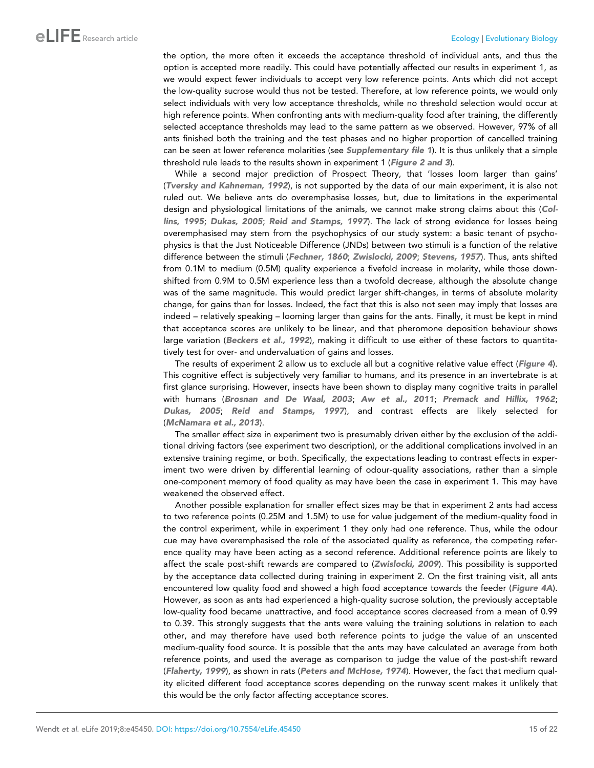the option, the more often it exceeds the acceptance threshold of individual ants, and thus the option is accepted more readily. This could have potentially affected our results in experiment 1, as we would expect fewer individuals to accept very low reference points. Ants which did not accept the low-quality sucrose would thus not be tested. Therefore, at low reference points, we would only select individuals with very low acceptance thresholds, while no threshold selection would occur at high reference points. When confronting ants with medium-quality food after training, the differently selected acceptance thresholds may lead to the same pattern as we observed. However, 97% of all ants finished both the training and the test phases and no higher proportion of cancelled training can be seen at lower reference molarities (see [Supplementary file 1](#page-17-0)). It is thus unlikely that a simple threshold rule leads to the results shown in experiment 1 ([Figure 2 and 3](#page-7-0)).

While a second major prediction of Prospect Theory, that 'losses loom larger than gains' ([Tversky and Kahneman, 1992](#page-20-0)), is not supported by the data of our main experiment, it is also not ruled out. We believe ants do overemphasise losses, but, due to limitations in the experimental design and physiological limitations of the animals, we cannot make strong claims about this ([Col](#page-18-0)[lins, 1995](#page-18-0); [Dukas, 2005](#page-18-0); [Reid and Stamps, 1997](#page-20-0)). The lack of strong evidence for losses being overemphasised may stem from the psychophysics of our study system: a basic tenant of psychophysics is that the Just Noticeable Difference (JNDs) between two stimuli is a function of the relative difference between the stimuli ([Fechner, 1860](#page-18-0); [Zwislocki, 2009](#page-20-0); [Stevens, 1957](#page-20-0)). Thus, ants shifted from 0.1M to medium (0.5M) quality experience a fivefold increase in molarity, while those downshifted from 0.9M to 0.5M experience less than a twofold decrease, although the absolute change was of the same magnitude. This would predict larger shift-changes, in terms of absolute molarity change, for gains than for losses. Indeed, the fact that this is also not seen may imply that losses are indeed – relatively speaking – looming larger than gains for the ants. Finally, it must be kept in mind that acceptance scores are unlikely to be linear, and that pheromone deposition behaviour shows large variation ([Beckers et al., 1992](#page-17-0)), making it difficult to use either of these factors to quantitatively test for over- and undervaluation of gains and losses.

The results of experiment 2 allow us to exclude all but a cognitive relative value effect ([Figure 4](#page-11-0)). This cognitive effect is subjectively very familiar to humans, and its presence in an invertebrate is at first glance surprising. However, insects have been shown to display many cognitive traits in parallel with humans ([Brosnan and De Waal, 2003](#page-18-0); [Aw et al., 2011](#page-17-0); [Premack and Hillix, 1962](#page-20-0); [Dukas, 2005](#page-18-0); [Reid and Stamps, 1997](#page-20-0)), and contrast effects are likely selected for ([McNamara et al., 2013](#page-19-0)).

The smaller effect size in experiment two is presumably driven either by the exclusion of the additional driving factors (see experiment two description), or the additional complications involved in an extensive training regime, or both. Specifically, the expectations leading to contrast effects in experiment two were driven by differential learning of odour-quality associations, rather than a simple one-component memory of food quality as may have been the case in experiment 1. This may have weakened the observed effect.

Another possible explanation for smaller effect sizes may be that in experiment 2 ants had access to two reference points (0.25M and 1.5M) to use for value judgement of the medium-quality food in the control experiment, while in experiment 1 they only had one reference. Thus, while the odour cue may have overemphasised the role of the associated quality as reference, the competing reference quality may have been acting as a second reference. Additional reference points are likely to affect the scale post-shift rewards are compared to ([Zwislocki, 2009](#page-20-0)). This possibility is supported by the acceptance data collected during training in experiment 2. On the first training visit, all ants encountered low quality food and showed a high food acceptance towards the feeder (*[Figure 4A](#page-11-0)*). However, as soon as ants had experienced a high-quality sucrose solution, the previously acceptable low-quality food became unattractive, and food acceptance scores decreased from a mean of 0.99 to 0.39. This strongly suggests that the ants were valuing the training solutions in relation to each other, and may therefore have used both reference points to judge the value of an unscented medium-quality food source. It is possible that the ants may have calculated an average from both reference points, and used the average as comparison to judge the value of the post-shift reward ([Flaherty, 1999](#page-18-0)), as shown in rats ([Peters and McHose, 1974](#page-19-0)). However, the fact that medium quality elicited different food acceptance scores depending on the runway scent makes it unlikely that this would be the only factor affecting acceptance scores.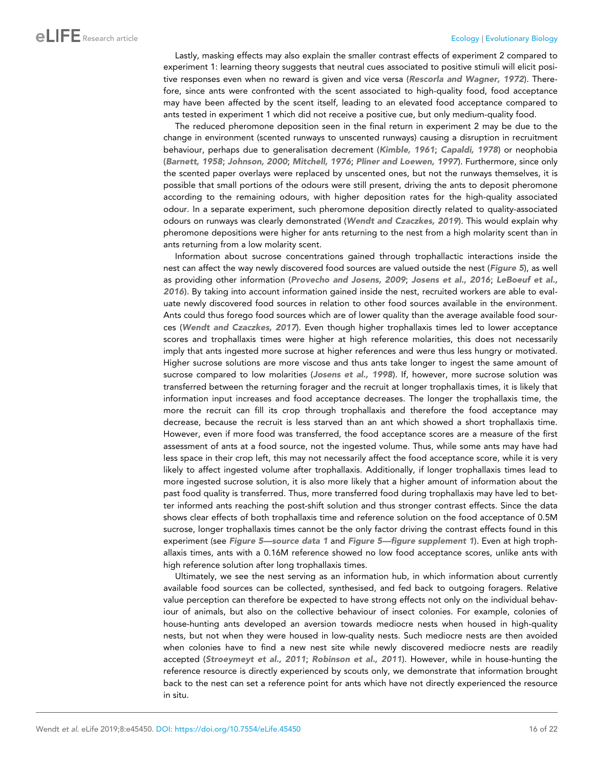Lastly, masking effects may also explain the smaller contrast effects of experiment 2 compared to experiment 1: learning theory suggests that neutral cues associated to positive stimuli will elicit posi-tive responses even when no reward is given and vice versa ([Rescorla and Wagner, 1972](#page-20-0)). Therefore, since ants were confronted with the scent associated to high-quality food, food acceptance may have been affected by the scent itself, leading to an elevated food acceptance compared to ants tested in experiment 1 which did not receive a positive cue, but only medium-quality food.

The reduced pheromone deposition seen in the final return in experiment 2 may be due to the change in environment (scented runways to unscented runways) causing a disruption in recruitment behaviour, perhaps due to generalisation decrement ([Kimble, 1961](#page-19-0); [Capaldi, 1978](#page-18-0)) or neophobia ([Barnett, 1958](#page-17-0); [Johnson, 2000](#page-19-0); [Mitchell, 1976](#page-19-0); [Pliner and Loewen, 1997](#page-20-0)). Furthermore, since only the scented paper overlays were replaced by unscented ones, but not the runways themselves, it is possible that small portions of the odours were still present, driving the ants to deposit pheromone according to the remaining odours, with higher deposition rates for the high-quality associated odour. In a separate experiment, such pheromone deposition directly related to quality-associated odours on runways was clearly demonstrated ([Wendt and Czaczkes, 2019](#page-20-0)). This would explain why pheromone depositions were higher for ants returning to the nest from a high molarity scent than in ants returning from a low molarity scent.

Information about sucrose concentrations gained through trophallactic interactions inside the nest can affect the way newly discovered food sources are valued outside the nest ([Figure 5](#page-13-0)), as well as providing other information ([Provecho and Josens, 2009](#page-20-0); [Josens et al., 2016](#page-19-0); [LeBoeuf et al.,](#page-19-0) [2016](#page-19-0)). By taking into account information gained inside the nest, recruited workers are able to evaluate newly discovered food sources in relation to other food sources available in the environment. Ants could thus forego food sources which are of lower quality than the average available food sources ([Wendt and Czaczkes, 2017](#page-20-0)). Even though higher trophallaxis times led to lower acceptance scores and trophallaxis times were higher at high reference molarities, this does not necessarily imply that ants ingested more sucrose at higher references and were thus less hungry or motivated. Higher sucrose solutions are more viscose and thus ants take longer to ingest the same amount of sucrose compared to low molarities ([Josens et al., 1998](#page-19-0)). If, however, more sucrose solution was transferred between the returning forager and the recruit at longer trophallaxis times, it is likely that information input increases and food acceptance decreases. The longer the trophallaxis time, the more the recruit can fill its crop through trophallaxis and therefore the food acceptance may decrease, because the recruit is less starved than an ant which showed a short trophallaxis time. However, even if more food was transferred, the food acceptance scores are a measure of the first assessment of ants at a food source, not the ingested volume. Thus, while some ants may have had less space in their crop left, this may not necessarily affect the food acceptance score, while it is very likely to affect ingested volume after trophallaxis. Additionally, if longer trophallaxis times lead to more ingested sucrose solution, it is also more likely that a higher amount of information about the past food quality is transferred. Thus, more transferred food during trophallaxis may have led to better informed ants reaching the post-shift solution and thus stronger contrast effects. Since the data shows clear effects of both trophallaxis time and reference solution on the food acceptance of 0.5M sucrose, longer trophallaxis times cannot be the only factor driving the contrast effects found in this experiment (see [Figure 5—source data 1](#page-13-0) and [Figure 5—figure supplement 1](#page-13-0)). Even at high trophallaxis times, ants with a 0.16M reference showed no low food acceptance scores, unlike ants with high reference solution after long trophallaxis times.

Ultimately, we see the nest serving as an information hub, in which information about currently available food sources can be collected, synthesised, and fed back to outgoing foragers. Relative value perception can therefore be expected to have strong effects not only on the individual behaviour of animals, but also on the collective behaviour of insect colonies. For example, colonies of house-hunting ants developed an aversion towards mediocre nests when housed in high-quality nests, but not when they were housed in low-quality nests. Such mediocre nests are then avoided when colonies have to find a new nest site while newly discovered mediocre nests are readily accepted ([Stroeymeyt et al., 2011](#page-20-0); [Robinson et al., 2011](#page-20-0)). However, while in house-hunting the reference resource is directly experienced by scouts only, we demonstrate that information brought back to the nest can set a reference point for ants which have not directly experienced the resource in situ.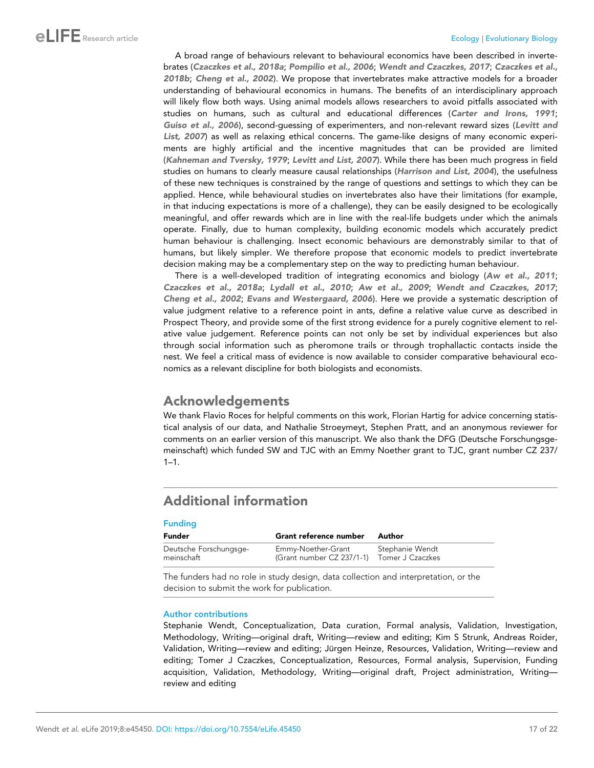<span id="page-16-0"></span>A broad range of behaviours relevant to behavioural economics have been described in invertebrates ([Czaczkes et al., 2018a](#page-18-0); [Pompilio et al., 2006](#page-20-0); [Wendt and Czaczkes, 2017](#page-20-0); [Czaczkes et al.,](#page-18-0) [2018b](#page-18-0); [Cheng et al., 2002](#page-18-0)). We propose that invertebrates make attractive models for a broader understanding of behavioural economics in humans. The benefits of an interdisciplinary approach will likely flow both ways. Using animal models allows researchers to avoid pitfalls associated with studies on humans, such as cultural and educational differences ([Carter and Irons, 1991](#page-18-0); [Guiso et al., 2006](#page-18-0)), second-guessing of experimenters, and non-relevant reward sizes ([Levitt and](#page-19-0) [List, 2007](#page-19-0)) as well as relaxing ethical concerns. The game-like designs of many economic experiments are highly artificial and the incentive magnitudes that can be provided are limited ([Kahneman and Tversky, 1979](#page-19-0); [Levitt and List, 2007](#page-19-0)). While there has been much progress in field studies on humans to clearly measure causal relationships ([Harrison and List, 2004](#page-19-0)), the usefulness of these new techniques is constrained by the range of questions and settings to which they can be applied. Hence, while behavioural studies on invertebrates also have their limitations (for example, in that inducing expectations is more of a challenge), they can be easily designed to be ecologically meaningful, and offer rewards which are in line with the real-life budgets under which the animals operate. Finally, due to human complexity, building economic models which accurately predict human behaviour is challenging. Insect economic behaviours are demonstrably similar to that of humans, but likely simpler. We therefore propose that economic models to predict invertebrate decision making may be a complementary step on the way to predicting human behaviour.

There is a well-developed tradition of integrating economics and biology ([Aw et al., 2011](#page-17-0); [Czaczkes et al., 2018a](#page-18-0); [Lydall et al., 2010](#page-19-0); [Aw et al., 2009](#page-17-0); [Wendt and Czaczkes, 2017](#page-20-0); [Cheng et al., 2002](#page-18-0); [Evans and Westergaard, 2006](#page-18-0)). Here we provide a systematic description of value judgment relative to a reference point in ants, define a relative value curve as described in Prospect Theory, and provide some of the first strong evidence for a purely cognitive element to relative value judgement. Reference points can not only be set by individual experiences but also through social information such as pheromone trails or through trophallactic contacts inside the nest. We feel a critical mass of evidence is now available to consider comparative behavioural economics as a relevant discipline for both biologists and economists.

### Acknowledgements

We thank Flavio Roces for helpful comments on this work, Florian Hartig for advice concerning statistical analysis of our data, and Nathalie Stroeymeyt, Stephen Pratt, and an anonymous reviewer for comments on an earlier version of this manuscript. We also thank the DFG (Deutsche Forschungsgemeinschaft) which funded SW and TJC with an Emmy Noether grant to TJC, grant number CZ 237/  $1 - 1$ .

## Additional information

#### Funding

| Funder                               | <b>Grant reference number</b>                                    | Author          |
|--------------------------------------|------------------------------------------------------------------|-----------------|
| Deutsche Forschungsge-<br>meinschaft | Emmy-Noether-Grant<br>(Grant number CZ 237/1-1) Tomer J Czaczkes | Stephanie Wendt |

The funders had no role in study design, data collection and interpretation, or the decision to submit the work for publication.

#### Author contributions

Stephanie Wendt, Conceptualization, Data curation, Formal analysis, Validation, Investigation, Methodology, Writing—original draft, Writing—review and editing; Kim S Strunk, Andreas Roider, Validation, Writing—review and editing; Jürgen Heinze, Resources, Validation, Writing—review and editing; Tomer J Czaczkes, Conceptualization, Resources, Formal analysis, Supervision, Funding acquisition, Validation, Methodology, Writing—original draft, Project administration, Writing review and editing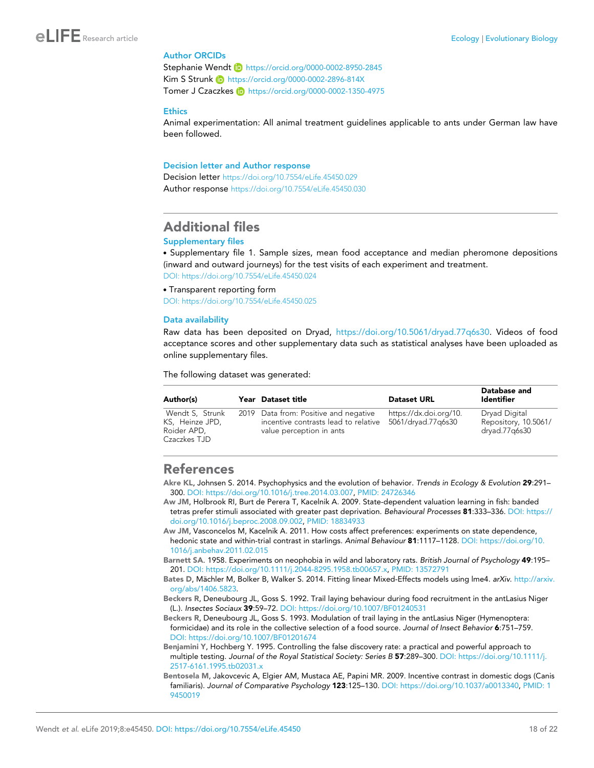### <span id="page-17-0"></span>Author ORCIDs

Stephanie Wendt (b) <https://orcid.org/0000-0002-8950-2845> Kim S Strunk iD <https://orcid.org/0000-0002-2896-814X> Tomer J Czaczkes **iD** <https://orcid.org/0000-0002-1350-4975>

#### **Ethics**

Animal experimentation: All animal treatment guidelines applicable to ants under German law have been followed.

#### Decision letter and Author response

Decision letter <https://doi.org/10.7554/eLife.45450.029> Author response <https://doi.org/10.7554/eLife.45450.030>

### Additional files

#### Supplementary files

. Supplementary file 1. Sample sizes, mean food acceptance and median pheromone depositions (inward and outward journeys) for the test visits of each experiment and treatment. [DOI: https://doi.org/10.7554/eLife.45450.024](https://doi.org/10.7554/eLife.45450.024)

. Transparent reporting form

[DOI: https://doi.org/10.7554/eLife.45450.025](https://doi.org/10.7554/eLife.45450.025)

#### Data availability

Raw data has been deposited on Dryad, [https://doi.org/10.5061/dryad.77q6s30.](https://doi.org/10.5061/dryad.77q6s30) Videos of food acceptance scores and other supplementary data such as statistical analyses have been uploaded as online supplementary files.

The following dataset was generated:

| Author(s)                                                         | Year Dataset title                                                                                        | <b>Dataset URL</b>                           | Database and<br>Identifier                             |
|-------------------------------------------------------------------|-----------------------------------------------------------------------------------------------------------|----------------------------------------------|--------------------------------------------------------|
| Wendt S, Strunk<br>KS, Heinze JPD,<br>Roider APD.<br>Czaczkes TJD | 2019 Data from: Positive and negative<br>incentive contrasts lead to relative<br>value perception in ants | https://dx.doi.org/10.<br>5061/dryad.77q6s30 | Dryad Digital<br>Repository, 10.5061/<br>dryad.77q6s30 |

### References

- Akre KL, Johnsen S. 2014. Psychophysics and the evolution of behavior. *Trends in Ecology & Evolution* 29:291– 300. DOI:<https://doi.org/10.1016/j.tree.2014.03.007>, PMID: [24726346](http://www.ncbi.nlm.nih.gov/pubmed/24726346)
- Aw JM, Holbrook RI, Burt de Perera T, Kacelnik A. 2009. State-dependent valuation learning in fish: banded tetras prefer stimuli associated with greater past deprivation. *Behavioural Processes* 81:333–336. DOI: [https://](https://doi.org/10.1016/j.beproc.2008.09.002) [doi.org/10.1016/j.beproc.2008.09.002](https://doi.org/10.1016/j.beproc.2008.09.002), PMID: [18834933](http://www.ncbi.nlm.nih.gov/pubmed/18834933)
- Aw JM, Vasconcelos M, Kacelnik A. 2011. How costs affect preferences: experiments on state dependence, hedonic state and within-trial contrast in starlings. *Animal Behaviour* 81:1117–1128. DOI: [https://doi.org/10.](https://doi.org/10.1016/j.anbehav.2011.02.015) [1016/j.anbehav.2011.02.015](https://doi.org/10.1016/j.anbehav.2011.02.015)
- Barnett SA. 1958. Experiments on neophobia in wild and laboratory rats. *British Journal of Psychology* 49:195– 201. DOI:<https://doi.org/10.1111/j.2044-8295.1958.tb00657.x>, PMID: [13572791](http://www.ncbi.nlm.nih.gov/pubmed/13572791)

Bates D, Mächler M, Bolker B, Walker S. 2014. Fitting linear Mixed-Effects models using Ime4. arXiv. [http://arxiv.](http://arxiv.org/abs/1406.5823) [org/abs/1406.5823.](http://arxiv.org/abs/1406.5823)

Beckers R, Deneubourg JL, Goss S. 1992. Trail laying behaviour during food recruitment in the antLasius Niger (L.). *Insectes Sociaux* 39:59–72. DOI:<https://doi.org/10.1007/BF01240531>

Beckers R, Deneubourg JL, Goss S. 1993. Modulation of trail laying in the antLasius Niger (Hymenoptera: formicidae) and its role in the collective selection of a food source. *Journal of Insect Behavior* 6:751–759. DOI:<https://doi.org/10.1007/BF01201674>

Benjamini Y, Hochberg Y. 1995. Controlling the false discovery rate: a practical and powerful approach to multiple testing. *Journal of the Royal Statistical Society: Series B* 57:289–300. DOI: [https://doi.org/10.1111/j.](https://doi.org/10.1111/j.2517-6161.1995.tb02031.x) [2517-6161.1995.tb02031.x](https://doi.org/10.1111/j.2517-6161.1995.tb02031.x)

Bentosela M, Jakovcevic A, Elgier AM, Mustaca AE, Papini MR. 2009. Incentive contrast in domestic dogs (Canis familiaris). *Journal of Comparative Psychology* 123:125–130. DOI: [https://doi.org/10.1037/a0013340,](https://doi.org/10.1037/a0013340) PMID: [1](http://www.ncbi.nlm.nih.gov/pubmed/19450019) [9450019](http://www.ncbi.nlm.nih.gov/pubmed/19450019)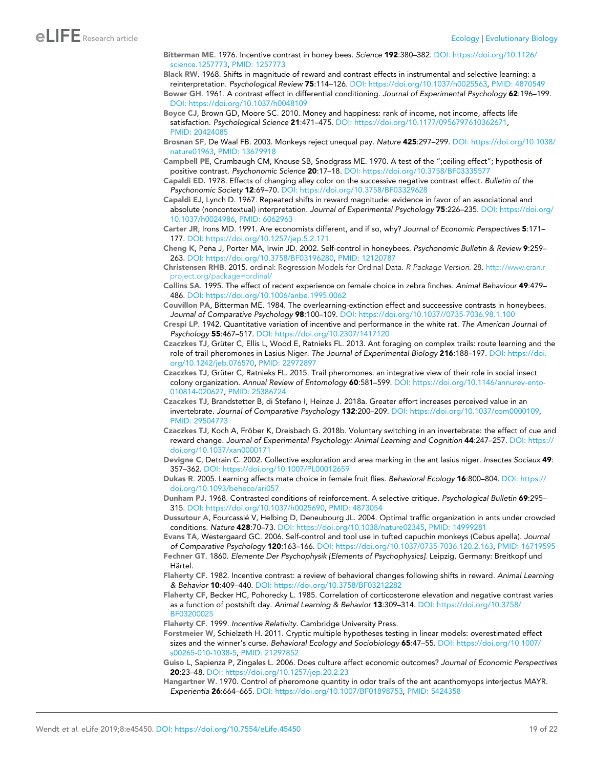<span id="page-18-0"></span>Bitterman ME. 1976. Incentive contrast in honey bees. *Science* 192:380–382. DOI: [https://doi.org/10.1126/](https://doi.org/10.1126/science.1257773) [science.1257773,](https://doi.org/10.1126/science.1257773) PMID: [1257773](http://www.ncbi.nlm.nih.gov/pubmed/1257773)

Black RW. 1968. Shifts in magnitude of reward and contrast effects in instrumental and selective learning: a reinterpretation. *Psychological Review* 75:114–126. DOI:<https://doi.org/10.1037/h0025563>, PMID: [4870549](http://www.ncbi.nlm.nih.gov/pubmed/4870549)

Bower GH. 1961. A contrast effect in differential conditioning. *Journal of Experimental Psychology* 62:196–199. DOI:<https://doi.org/10.1037/h0048109>

Boyce CJ, Brown GD, Moore SC. 2010. Money and happiness: rank of income, not income, affects life satisfaction. *Psychological Science* 21:471–475. DOI: [https://doi.org/10.1177/0956797610362671,](https://doi.org/10.1177/0956797610362671) PMID: [20424085](http://www.ncbi.nlm.nih.gov/pubmed/20424085)

Brosnan SF, De Waal FB. 2003. Monkeys reject unequal pay. *Nature* 425:297–299. DOI: [https://doi.org/10.1038/](https://doi.org/10.1038/nature01963) [nature01963](https://doi.org/10.1038/nature01963), PMID: [13679918](http://www.ncbi.nlm.nih.gov/pubmed/13679918)

Campbell PE, Crumbaugh CM, Knouse SB, Snodgrass ME. 1970. A test of the ";ceiling effect"; hypothesis of positive contrast. *Psychonomic Science* 20:17–18. DOI:<https://doi.org/10.3758/BF03335577>

- Capaldi ED. 1978. Effects of changing alley color on the successive negative contrast effect. *Bulletin of the Psychonomic Society* 12:69–70. DOI:<https://doi.org/10.3758/BF03329628>
- Capaldi EJ, Lynch D. 1967. Repeated shifts in reward magnitude: evidence in favor of an associational and absolute (noncontextual) interpretation. *Journal of Experimental Psychology* 75:226–235. DOI: [https://doi.org/](https://doi.org/10.1037/h0024986) [10.1037/h0024986](https://doi.org/10.1037/h0024986), PMID: [6062963](http://www.ncbi.nlm.nih.gov/pubmed/6062963)
- Carter JR, Irons MD. 1991. Are economists different, and if so, why? *Journal of Economic Perspectives* 5:171– 177. DOI:<https://doi.org/10.1257/jep.5.2.171>

Cheng K, Peña J, Porter MA, Irwin JD. 2002. Self-control in honeybees. Psychonomic Bulletin & Review 9:259-263. DOI: [https://doi.org/10.3758/BF03196280,](https://doi.org/10.3758/BF03196280) PMID: [12120787](http://www.ncbi.nlm.nih.gov/pubmed/12120787)

Christensen RHB. 2015. ordinal: Regression Models for Ordinal Data. R Package Version. 28. [http://www.cran.r](http://www.cran.r-project.org/package=ordinal/)[project.org/package=ordinal/](http://www.cran.r-project.org/package=ordinal/)

Collins SA. 1995. The effect of recent experience on female choice in zebra finches. *Animal Behaviour* 49:479– 486. DOI:<https://doi.org/10.1006/anbe.1995.0062>

- Couvillon PA, Bitterman ME. 1984. The overlearning-extinction effect and succeessive contrasts in honeybees. *Journal of Comparative Psychology* 98:100–109. DOI:<https://doi.org/10.1037//0735-7036.98.1.100>
- Crespi LP. 1942. Quantitative variation of incentive and performance in the white rat. *The American Journal of Psychology* 55:467–517. DOI:<https://doi.org/10.2307/1417120>
- Czaczkes TJ, Grüter C, Ellis L, Wood E, Ratnieks FL. 2013. Ant foraging on complex trails: route learning and the role of trail pheromones in Lasius Niger. *The Journal of Experimental Biology* 216:188–197. DOI: [https://doi.](https://doi.org/10.1242/jeb.076570) [org/10.1242/jeb.076570](https://doi.org/10.1242/jeb.076570), PMID: [22972897](http://www.ncbi.nlm.nih.gov/pubmed/22972897)
- Czaczkes TJ, Grüter C, Ratnieks FL. 2015. Trail pheromones: an integrative view of their role in social insect colony organization. *Annual Review of Entomology* 60:581–599. DOI: [https://doi.org/10.1146/annurev-ento-](https://doi.org/10.1146/annurev-ento-010814-020627)[010814-020627,](https://doi.org/10.1146/annurev-ento-010814-020627) PMID: [25386724](http://www.ncbi.nlm.nih.gov/pubmed/25386724)
- Czaczkes TJ, Brandstetter B, di Stefano I, Heinze J. 2018a. Greater effort increases perceived value in an invertebrate. *Journal of Comparative Psychology* 132:200–209. DOI: [https://doi.org/10.1037/com0000109,](https://doi.org/10.1037/com0000109) PMID: [29504773](http://www.ncbi.nlm.nih.gov/pubmed/29504773)
- Czaczkes TJ, Koch A, Fröber K, Dreisbach G. 2018b. Voluntary switching in an invertebrate: the effect of cue and reward change. *Journal of Experimental Psychology: Animal Learning and Cognition* 44:247–257. DOI: [https://](https://doi.org/10.1037/xan0000171) doi.org/10.1037/xan000017
- Devigne C, Detrain C. 2002. Collective exploration and area marking in the ant lasius niger. *Insectes Sociaux* 49: 357–362. DOI:<https://doi.org/10.1007/PL00012659>
- Dukas R. 2005. Learning affects mate choice in female fruit flies. *Behavioral Ecology* 16:800–804. DOI: [https://](https://doi.org/10.1093/beheco/ari057) [doi.org/10.1093/beheco/ari057](https://doi.org/10.1093/beheco/ari057)

Dunham PJ. 1968. Contrasted conditions of reinforcement. A selective critique. *Psychological Bulletin* 69:295– 315. DOI: [https://doi.org/10.1037/h0025690,](https://doi.org/10.1037/h0025690) PMID: [4873054](http://www.ncbi.nlm.nih.gov/pubmed/4873054)

Dussutour A, Fourcassie´ V, Helbing D, Deneubourg JL. 2004. Optimal traffic organization in ants under crowded conditions. *Nature* 428:70–73. DOI: [https://doi.org/10.1038/nature02345,](https://doi.org/10.1038/nature02345) PMID: [14999281](http://www.ncbi.nlm.nih.gov/pubmed/14999281)

Evans TA, Westergaard GC. 2006. Self-control and tool use in tufted capuchin monkeys (Cebus apella). *Journal of Comparative Psychology* 120:163–166. DOI: [https://doi.org/10.1037/0735-7036.120.2.163,](https://doi.org/10.1037/0735-7036.120.2.163) PMID: [16719595](http://www.ncbi.nlm.nih.gov/pubmed/16719595)

Fechner GT. 1860. *Elemente Der Psychophysik [Elements of Psychophysics]*. Leipzig, Germany: Breitkopf und Härtel.

Flaherty CF. 1982. Incentive contrast: a review of behavioral changes following shifts in reward. *Animal Learning & Behavior* 10:409–440. DOI:<https://doi.org/10.3758/BF03212282>

Flaherty CF, Becker HC, Pohorecky L. 1985. Correlation of corticosterone elevation and negative contrast varies as a function of postshift day. *Animal Learning & Behavior* 13:309–314. DOI: [https://doi.org/10.3758/](https://doi.org/10.3758/BF03200025) [BF03200025](https://doi.org/10.3758/BF03200025)

Flaherty CF. 1999. *Incentive Relativity*. Cambridge University Press.

Forstmeier W, Schielzeth H. 2011. Cryptic multiple hypotheses testing in linear models: overestimated effect sizes and the winner's curse. *Behavioral Ecology and Sociobiology* 65:47–55. DOI: [https://doi.org/10.1007/](https://doi.org/10.1007/s00265-010-1038-5) [s00265-010-1038-5,](https://doi.org/10.1007/s00265-010-1038-5) PMID: [21297852](http://www.ncbi.nlm.nih.gov/pubmed/21297852)

- Guiso L, Sapienza P, Zingales L. 2006. Does culture affect economic outcomes? *Journal of Economic Perspectives* 20:23–48. DOI:<https://doi.org/10.1257/jep.20.2.23>
- Hangartner W. 1970. Control of pheromone quantity in odor trails of the ant acanthomyops interjectus MAYR. *Experientia* 26:664–665. DOI:<https://doi.org/10.1007/BF01898753>, PMID: [5424358](http://www.ncbi.nlm.nih.gov/pubmed/5424358)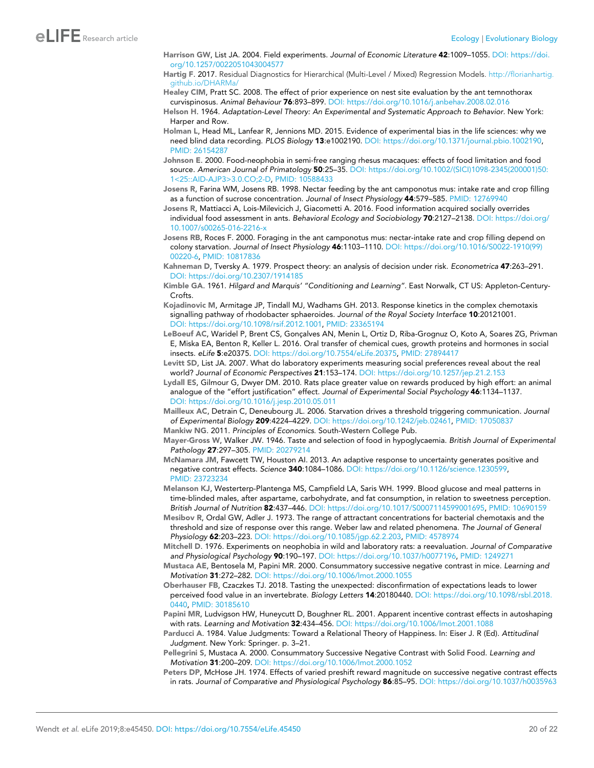- <span id="page-19-0"></span>Harrison GW, List JA. 2004. Field experiments. *Journal of Economic Literature* 42:1009–1055. DOI: [https://doi.](https://doi.org/10.1257/0022051043004577) [org/10.1257/0022051043004577](https://doi.org/10.1257/0022051043004577)
- Hartig F. 2017. Residual Diagnostics for Hierarchical (Multi-Level / Mixed) Regression Models. [http://florianhartig.](http://florianhartig.github.io/DHARMa/) [github.io/DHARMa/](http://florianhartig.github.io/DHARMa/)
- Healey CIM, Pratt SC. 2008. The effect of prior experience on nest site evaluation by the ant temnothorax curvispinosus. *Animal Behaviour* 76:893–899. DOI:<https://doi.org/10.1016/j.anbehav.2008.02.016>
- Helson H. 1964. *Adaptation-Level Theory: An Experimental and Systematic Approach to Behavior*. New York: Harper and Row.
- Holman L, Head ML, Lanfear R, Jennions MD. 2015. Evidence of experimental bias in the life sciences: why we need blind data recording. *PLOS Biology* 13:e1002190. DOI:<https://doi.org/10.1371/journal.pbio.1002190>, PMID: [26154287](http://www.ncbi.nlm.nih.gov/pubmed/26154287)
- Johnson E. 2000. Food-neophobia in semi-free ranging rhesus macaques: effects of food limitation and food source. *American Journal of Primatology* 50:25–35. DOI: [https://doi.org/10.1002/\(SICI\)1098-2345\(200001\)50:](https://doi.org/10.1002/(SICI)1098-2345(200001)50:1%3C25::AID-AJP3%3E3.0.CO;2-D) [1<25::AID-AJP3>3.0.CO;2-D](https://doi.org/10.1002/(SICI)1098-2345(200001)50:1%3C25::AID-AJP3%3E3.0.CO;2-D), PMID: [10588433](http://www.ncbi.nlm.nih.gov/pubmed/10588433)
- Josens R, Farina WM, Josens RB. 1998. Nectar feeding by the ant camponotus mus: intake rate and crop filling as a function of sucrose concentration. *Journal of Insect Physiology* 44:579–585. PMID: [12769940](http://www.ncbi.nlm.nih.gov/pubmed/12769940)
- Josens R, Mattiacci A, Lois-Milevicich J, Giacometti A. 2016. Food information acquired socially overrides individual food assessment in ants. *Behavioral Ecology and Sociobiology* 70:2127–2138. DOI: [https://doi.org/](https://doi.org/10.1007/s00265-016-2216-x) [10.1007/s00265-016-2216-x](https://doi.org/10.1007/s00265-016-2216-x)
- Josens RB, Roces F. 2000. Foraging in the ant camponotus mus: nectar-intake rate and crop filling depend on colony starvation. *Journal of Insect Physiology* 46:1103–1110. DOI: [https://doi.org/10.1016/S0022-1910\(99\)](https://doi.org/10.1016/S0022-1910(99)00220-6) [00220-6](https://doi.org/10.1016/S0022-1910(99)00220-6), PMID: [10817836](http://www.ncbi.nlm.nih.gov/pubmed/10817836)
- Kahneman D, Tversky A. 1979. Prospect theory: an analysis of decision under risk. *Econometrica* 47:263–291. DOI:<https://doi.org/10.2307/1914185>
- Kimble GA. 1961. *Hilgard and Marquis' "Conditioning and Learning"*. East Norwalk, CT US: Appleton-Century-Crofts.
- Kojadinovic M, Armitage JP, Tindall MJ, Wadhams GH. 2013. Response kinetics in the complex chemotaxis signalling pathway of rhodobacter sphaeroides. *Journal of the Royal Society Interface* 10:20121001. DOI: [https://doi.org/10.1098/rsif.2012.1001,](https://doi.org/10.1098/rsif.2012.1001) PMID: [23365194](http://www.ncbi.nlm.nih.gov/pubmed/23365194)
- LeBoeuf AC, Waridel P, Brent CS, Gonçalves AN, Menin L, Ortiz D, Riba-Grognuz O, Koto A, Soares ZG, Privman E, Miska EA, Benton R, Keller L. 2016. Oral transfer of chemical cues, growth proteins and hormones in social insects. *eLife* 5:e20375. DOI:<https://doi.org/10.7554/eLife.20375>, PMID: [27894417](http://www.ncbi.nlm.nih.gov/pubmed/27894417)
- Levitt SD, List JA. 2007. What do laboratory experiments measuring social preferences reveal about the real world? *Journal of Economic Perspectives* 21:153–174. DOI:<https://doi.org/10.1257/jep.21.2.153>
- Lydall ES, Gilmour G, Dwyer DM. 2010. Rats place greater value on rewards produced by high effort: an animal analogue of the "effort justification" effect. *Journal of Experimental Social Psychology* 46:1134–1137. DOI:<https://doi.org/10.1016/j.jesp.2010.05.011>
- Mailleux AC, Detrain C, Deneubourg JL. 2006. Starvation drives a threshold triggering communication. *Journal of Experimental Biology* 209:4224–4229. DOI:<https://doi.org/10.1242/jeb.02461>, PMID: [17050837](http://www.ncbi.nlm.nih.gov/pubmed/17050837)
- Mankiw NG. 2011. *Principles of Economics*. South-Western College Pub.
- Mayer-Gross W, Walker JW. 1946. Taste and selection of food in hypoglycaemia. *British Journal of Experimental Pathology* 27:297–305. PMID: [20279214](http://www.ncbi.nlm.nih.gov/pubmed/20279214)
- McNamara JM, Fawcett TW, Houston AI. 2013. An adaptive response to uncertainty generates positive and negative contrast effects. *Science* 340:1084–1086. DOI: [https://doi.org/10.1126/science.1230599,](https://doi.org/10.1126/science.1230599) PMID: [23723234](http://www.ncbi.nlm.nih.gov/pubmed/23723234)
- Melanson KJ, Westerterp-Plantenga MS, Campfield LA, Saris WH. 1999. Blood glucose and meal patterns in time-blinded males, after aspartame, carbohydrate, and fat consumption, in relation to sweetness perception. *British Journal of Nutrition* 82:437–446. DOI: [https://doi.org/10.1017/S0007114599001695,](https://doi.org/10.1017/S0007114599001695) PMID: [10690159](http://www.ncbi.nlm.nih.gov/pubmed/10690159)
- Mesibov R, Ordal GW, Adler J. 1973. The range of attractant concentrations for bacterial chemotaxis and the threshold and size of response over this range. Weber law and related phenomena. *The Journal of General Physiology* 62:203–223. DOI: [https://doi.org/10.1085/jgp.62.2.203,](https://doi.org/10.1085/jgp.62.2.203) PMID: [4578974](http://www.ncbi.nlm.nih.gov/pubmed/4578974)
- Mitchell D. 1976. Experiments on neophobia in wild and laboratory rats: a reevaluation. *Journal of Comparative and Physiological Psychology* 90:190–197. DOI:<https://doi.org/10.1037/h0077196>, PMID: [1249271](http://www.ncbi.nlm.nih.gov/pubmed/1249271)
- Mustaca AE, Bentosela M, Papini MR. 2000. Consummatory successive negative contrast in mice. *Learning and Motivation* 31:272–282. DOI:<https://doi.org/10.1006/lmot.2000.1055>
- Oberhauser FB, Czaczkes TJ. 2018. Tasting the unexpected: disconfirmation of expectations leads to lower perceived food value in an invertebrate. *Biology Letters* 14:20180440. DOI: [https://doi.org/10.1098/rsbl.2018.](https://doi.org/10.1098/rsbl.2018.0440) [0440](https://doi.org/10.1098/rsbl.2018.0440), PMID: [30185610](http://www.ncbi.nlm.nih.gov/pubmed/30185610)
- Papini MR, Ludvigson HW, Huneycutt D, Boughner RL. 2001. Apparent incentive contrast effects in autoshaping with rats. *Learning and Motivation* 32:434–456. DOI:<https://doi.org/10.1006/lmot.2001.1088>
- Parducci A. 1984. Value Judgments: Toward a Relational Theory of Happiness. In: Eiser J. R (Ed). *Attitudinal Judgment*. New York: Springer. p. 3–21.
- Pellegrini S, Mustaca A. 2000. Consummatory Successive Negative Contrast with Solid Food. *Learning and Motivation* 31:200–209. DOI:<https://doi.org/10.1006/lmot.2000.1052>
- Peters DP, McHose JH. 1974. Effects of varied preshift reward magnitude on successive negative contrast effects in rats. *Journal of Comparative and Physiological Psychology* 86:85–95. DOI:<https://doi.org/10.1037/h0035963>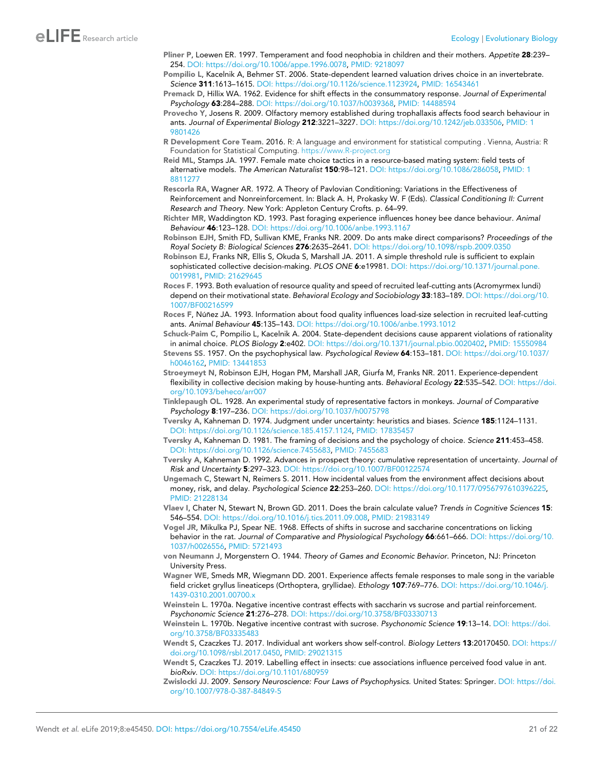- <span id="page-20-0"></span>Pliner P, Loewen ER. 1997. Temperament and food neophobia in children and their mothers. *Appetite* 28:239– 254. DOI:<https://doi.org/10.1006/appe.1996.0078>, PMID: [9218097](http://www.ncbi.nlm.nih.gov/pubmed/9218097)
- Pompilio L, Kacelnik A, Behmer ST. 2006. State-dependent learned valuation drives choice in an invertebrate. *Science* 311:1613–1615. DOI:<https://doi.org/10.1126/science.1123924>, PMID: [16543461](http://www.ncbi.nlm.nih.gov/pubmed/16543461)
- Premack D, Hillix WA. 1962. Evidence for shift effects in the consummatory response. *Journal of Experimental Psychology* 63:284–288. DOI: [https://doi.org/10.1037/h0039368,](https://doi.org/10.1037/h0039368) PMID: [14488594](http://www.ncbi.nlm.nih.gov/pubmed/14488594)
- Provecho Y, Josens R. 2009. Olfactory memory established during trophallaxis affects food search behaviour in ants. *Journal of Experimental Biology* 212:3221–3227. DOI:<https://doi.org/10.1242/jeb.033506>, PMID: [1](http://www.ncbi.nlm.nih.gov/pubmed/19801426) [9801426](http://www.ncbi.nlm.nih.gov/pubmed/19801426)
- R Development Core Team. 2016. R: A language and environment for statistical computing . Vienna, Austria: R Foundation for Statistical Computing. <https://www.R-project.org>
- Reid ML, Stamps JA. 1997. Female mate choice tactics in a resource-based mating system: field tests of alternative models. *The American Naturalist* 150:98–121. DOI:<https://doi.org/10.1086/286058>, PMID: [1](http://www.ncbi.nlm.nih.gov/pubmed/18811277) [8811277](http://www.ncbi.nlm.nih.gov/pubmed/18811277)
- Rescorla RA, Wagner AR. 1972. A Theory of Pavlovian Conditioning: Variations in the Effectiveness of Reinforcement and Nonreinforcement. In: Black A. H, Prokasky W. F (Eds). *Classical Conditioning II: Current Research and Theory*. New York: Appleton Century Crofts. p. 64–99.
- Richter MR, Waddington KD. 1993. Past foraging experience influences honey bee dance behaviour. *Animal Behaviour* 46:123–128. DOI:<https://doi.org/10.1006/anbe.1993.1167>
- Robinson EJH, Smith FD, Sullivan KME, Franks NR. 2009. Do ants make direct comparisons? *Proceedings of the Royal Society B: Biological Sciences* 276:2635–2641. DOI:<https://doi.org/10.1098/rspb.2009.0350>
- Robinson EJ, Franks NR, Ellis S, Okuda S, Marshall JA. 2011. A simple threshold rule is sufficient to explain sophisticated collective decision-making. *PLOS ONE* 6:e19981. DOI: [https://doi.org/10.1371/journal.pone.](https://doi.org/10.1371/journal.pone.0019981) [0019981](https://doi.org/10.1371/journal.pone.0019981), PMID: [21629645](http://www.ncbi.nlm.nih.gov/pubmed/21629645)
- Roces F. 1993. Both evaluation of resource quality and speed of recruited leaf-cutting ants (Acromyrmex lundi) depend on their motivational state. *Behavioral Ecology and Sociobiology* 33:183–189. DOI: [https://doi.org/10.](https://doi.org/10.1007/BF00216599) [1007/BF00216599](https://doi.org/10.1007/BF00216599)
- Roces F, Núñez JA. 1993. Information about food quality influences load-size selection in recruited leaf-cutting ants. *Animal Behaviour* 45:135–143. DOI:<https://doi.org/10.1006/anbe.1993.1012>
- Schuck-Paim C, Pompilio L, Kacelnik A. 2004. State-dependent decisions cause apparent violations of rationality in animal choice. *PLOS Biology* 2:e402. DOI: [https://doi.org/10.1371/journal.pbio.0020402,](https://doi.org/10.1371/journal.pbio.0020402) PMID: [15550984](http://www.ncbi.nlm.nih.gov/pubmed/15550984)
- Stevens SS. 1957. On the psychophysical law. *Psychological Review* 64:153–181. DOI: [https://doi.org/10.1037/](https://doi.org/10.1037/h0046162) [h0046162,](https://doi.org/10.1037/h0046162) PMID: [13441853](http://www.ncbi.nlm.nih.gov/pubmed/13441853)
- Stroeymeyt N, Robinson EJH, Hogan PM, Marshall JAR, Giurfa M, Franks NR. 2011. Experience-dependent flexibility in collective decision making by house-hunting ants. *Behavioral Ecology* 22:535–542. DOI: [https://doi.](https://doi.org/10.1093/beheco/arr007) [org/10.1093/beheco/arr007](https://doi.org/10.1093/beheco/arr007)
- Tinklepaugh OL. 1928. An experimental study of representative factors in monkeys. *Journal of Comparative Psychology* 8:197–236. DOI:<https://doi.org/10.1037/h0075798>
- Tversky A, Kahneman D. 1974. Judgment under uncertainty: heuristics and biases. *Science* 185:1124–1131. DOI: [https://doi.org/10.1126/science.185.4157.1124,](https://doi.org/10.1126/science.185.4157.1124) PMID: [17835457](http://www.ncbi.nlm.nih.gov/pubmed/17835457)
- Tversky A, Kahneman D. 1981. The framing of decisions and the psychology of choice. *Science* 211:453–458. DOI: [https://doi.org/10.1126/science.7455683,](https://doi.org/10.1126/science.7455683) PMID: [7455683](http://www.ncbi.nlm.nih.gov/pubmed/7455683)
- Tversky A, Kahneman D. 1992. Advances in prospect theory: cumulative representation of uncertainty. *Journal of Risk and Uncertainty* 5:297–323. DOI:<https://doi.org/10.1007/BF00122574>
- Ungemach C, Stewart N, Reimers S. 2011. How incidental values from the environment affect decisions about money, risk, and delay. *Psychological Science* 22:253–260. DOI: [https://doi.org/10.1177/0956797610396225,](https://doi.org/10.1177/0956797610396225) PMID: [21228134](http://www.ncbi.nlm.nih.gov/pubmed/21228134)
- Vlaev I, Chater N, Stewart N, Brown GD. 2011. Does the brain calculate value? *Trends in Cognitive Sciences* 15: 546–554. DOI: [https://doi.org/10.1016/j.tics.2011.09.008,](https://doi.org/10.1016/j.tics.2011.09.008) PMID: [21983149](http://www.ncbi.nlm.nih.gov/pubmed/21983149)
- Vogel JR, Mikulka PJ, Spear NE. 1968. Effects of shifts in sucrose and saccharine concentrations on licking behavior in the rat. *Journal of Comparative and Physiological Psychology* 66:661–666. DOI: [https://doi.org/10.](https://doi.org/10.1037/h0026556) [1037/h0026556](https://doi.org/10.1037/h0026556), PMID: [5721493](http://www.ncbi.nlm.nih.gov/pubmed/5721493)
- von Neumann J, Morgenstern O. 1944. *Theory of Games and Economic Behavior*. Princeton, NJ: Princeton University Press.
- Wagner WE, Smeds MR, Wiegmann DD. 2001. Experience affects female responses to male song in the variable field cricket gryllus lineaticeps (Orthoptera, gryllidae). *Ethology* 107:769–776. DOI: [https://doi.org/10.1046/j.](https://doi.org/10.1046/j.1439-0310.2001.00700.x) [1439-0310.2001.00700.x](https://doi.org/10.1046/j.1439-0310.2001.00700.x)
- Weinstein L. 1970a. Negative incentive contrast effects with saccharin vs sucrose and partial reinforcement. *Psychonomic Science* 21:276–278. DOI:<https://doi.org/10.3758/BF03330713>
- Weinstein L. 1970b. Negative incentive contrast with sucrose. *Psychonomic Science* 19:13–14. DOI: [https://doi.](https://doi.org/10.3758/BF03335483) [org/10.3758/BF03335483](https://doi.org/10.3758/BF03335483)
- Wendt S, Czaczkes TJ. 2017. Individual ant workers show self-control. *Biology Letters* 13:20170450. DOI: [https://](https://doi.org/10.1098/rsbl.2017.0450) [doi.org/10.1098/rsbl.2017.0450,](https://doi.org/10.1098/rsbl.2017.0450) PMID: [29021315](http://www.ncbi.nlm.nih.gov/pubmed/29021315)
- Wendt S, Czaczkes TJ. 2019. Labelling effect in insects: cue associations influence perceived food value in ant. *bioRxiv*. DOI:<https://doi.org/10.1101/680959>
- Zwislocki JJ. 2009. *Sensory Neuroscience: Four Laws of Psychophysics*. United States: Springer. DOI: [https://doi.](https://doi.org/10.1007/978-0-387-84849-5) [org/10.1007/978-0-387-84849-5](https://doi.org/10.1007/978-0-387-84849-5)